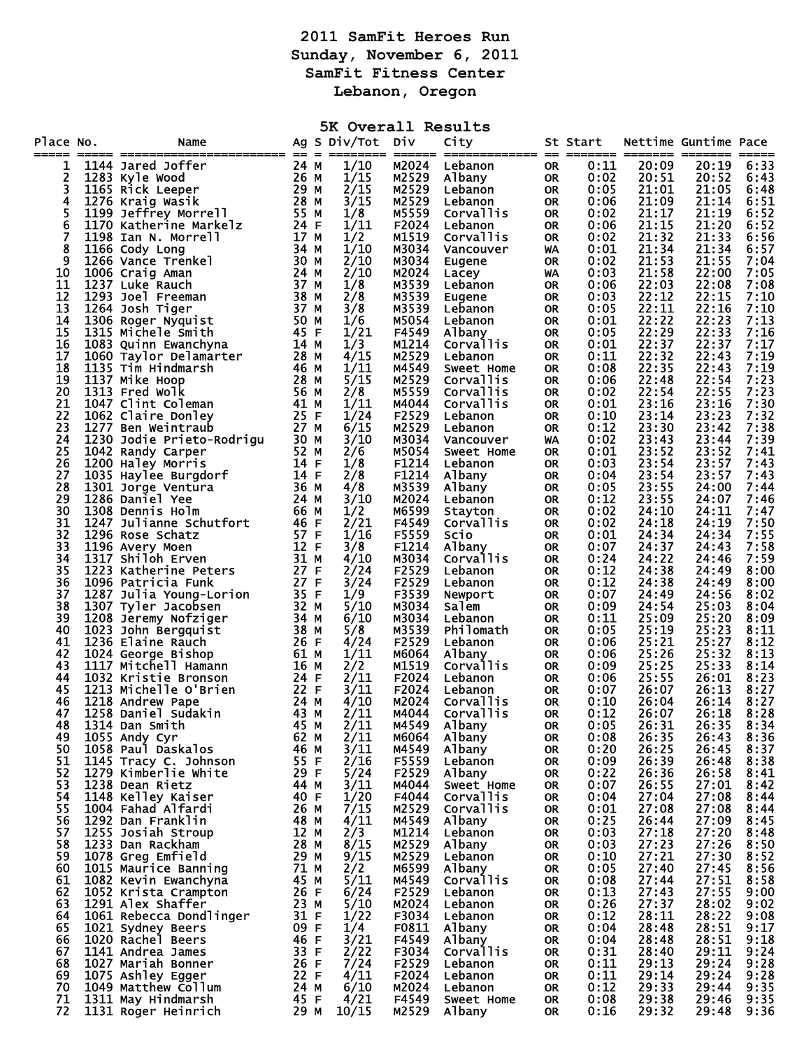## **2011 SamFit Heroes Run Sunday, November 6, 2011 SamFit Fitness Center Lebanon, Oregon**

| 5K Overall Results<br>Ag S Div/Tot Div<br>Nettime Guntime Pace |  |                                                                                                     |              |  |              |                |                             |                        |              |                |                |              |
|----------------------------------------------------------------|--|-----------------------------------------------------------------------------------------------------|--------------|--|--------------|----------------|-----------------------------|------------------------|--------------|----------------|----------------|--------------|
| Place No.<br>=====                                             |  | Name                                                                                                |              |  |              |                | City                        |                        | St Start     |                |                |              |
| 1<br>2                                                         |  | 1144 Jared Joffer                                                                                   | 24 M<br>26 M |  | 1/10<br>1/15 | M2024<br>M2529 | Lebanon<br>Albany           | <b>OR</b><br><b>OR</b> | 0:11<br>0:02 | 20:09<br>20:51 | 20:19<br>20:52 | 6:33<br>6:43 |
| 3                                                              |  | 1144 Jarea Jorrer<br>1283 Kyle Wood<br>1165 Rick Leeper<br>1276 Kraig Wasik<br>1199 Jeffrey Morrell | 29 M         |  | 2/15         | M2529          | Lebanon                     | <b>OR</b>              | 0:05         | 21:01          | 21:05          | 6:48         |
| 4                                                              |  |                                                                                                     | 28 M         |  | 3/15         | M2529          | Lebanon                     | <b>OR</b>              | 0:06         | 21:09          | 21:14          | 6:51         |
| 5<br>6                                                         |  | 1170 Katherine Markelz                                                                              | 55 M<br>24 F |  | 1/8<br>1/11  | M5559<br>F2024 | <b>Corvallis</b><br>Lebanon | <b>OR</b><br><b>OR</b> | 0:02<br>0:06 | 21:17<br>21:15 | 21:19<br>21:20 | 6:52<br>6:52 |
| 7                                                              |  | 1198 Ian N. Morrell                                                                                 | 17 M         |  | 1/2          | M1519          | Corvallis                   | <b>OR</b>              | 0:02         | 21:32          | 21:33          | 6:56         |
| 8                                                              |  | 1166 Cody Long                                                                                      | 34 M         |  | 1/10         | M3034          | Vancouver                   | WA                     | 0:01         | 21:34          | 21:34          | 6:57         |
| 9<br>10                                                        |  | 1266 Vance Trenkel<br>1006 Craig Aman                                                               | 30 M<br>24 M |  | 2/10<br>2/10 | M3034<br>M2024 | Eugene<br>Lacey             | <b>OR</b><br>WA        | 0:02<br>0:03 | 21:53<br>21:58 | 21:55<br>22:00 | 7:04<br>7:05 |
| 11                                                             |  | 1237 Luke Rauch                                                                                     | 37 M         |  | 1/8          | M3539          | Lebanon                     | <b>OR</b>              | 0:06         | 22:03          | 22:08          | 7:08         |
| 12<br>13                                                       |  | 1293 Joel Freeman                                                                                   | 38 M<br>37 M |  | 2/8<br>3/8   | M3539<br>M3539 | Eugene                      | <b>OR</b>              | 0:03         | 22:12<br>22:11 | 22:15<br>22:16 | 7:10<br>7:10 |
| 14                                                             |  | 1264 Josh Tiger<br>1306 Roger Nyquist                                                               | 50 M         |  | 1/6          | M5054          | Lebanon<br>Lebanon          | <b>OR</b><br><b>OR</b> | 0:05<br>0:01 | 22:22          | 22:23          | 7:13         |
| 15                                                             |  | 1315 Michele Smith                                                                                  | 45 F         |  | 1/21         | F4549          | Albany                      | <b>OR</b>              | 0:05         | 22:29          | 22:33          | 7:16         |
| 16<br>17                                                       |  | 1083 Quinn Ewanchyna<br>1060 Taylor Delamarter                                                      | 14 M<br>28 M |  | 1/3<br>4/15  | M1214<br>M2529 | Corvallis<br>Lebanon        | <b>OR</b><br><b>OR</b> | 0:01<br>0:11 | 22:37<br>22:32 | 22:37<br>22:43 | 7:17<br>7:19 |
| 18                                                             |  | 1135 Tim Hindmarsh                                                                                  | 46 M         |  | 1/11         | M4549          | Sweet Home                  | <b>OR</b>              | 0:08         | 22:35          | 22:43          | 7:19         |
| 19                                                             |  | 1137 Mike Hoop                                                                                      | 28 M         |  | 5/15         | M2529          | <b>Corvallis</b>            | <b>OR</b>              | 0:06         | 22:48          | 22:54          | 7:23         |
| 20<br>21                                                       |  | 1313 Fred Wolk<br>1047 Clint Coleman                                                                | 56 M<br>41 M |  | 2/8<br>1/11  | M5559<br>M4044 | Corvallis<br>Corvallis      | <b>OR</b><br><b>OR</b> | 0:02<br>0:01 | 22:54<br>23:16 | 22:55<br>23:16 | 7:23<br>7:30 |
| 22                                                             |  | 1062 Claire Donley                                                                                  | 25 F         |  | 1/24         | F2529          | Lebanon                     | <b>OR</b>              | 0:10         | 23:14          | 23:23          | 7:32         |
| 23                                                             |  | 1277 Ben Weintraub                                                                                  | 27 M         |  | 6/15         | M2529          | Lebanon                     | <b>OR</b>              | 0:12         | 23:30          | 23:42          | 7:38         |
| 24<br>25                                                       |  | 1230 Jodie Prieto-Rodrigu<br>1042 Randy Carper                                                      | 30 M<br>52 M |  | 3/10<br>2/6  | M3034<br>M5054 | Vancouver<br>Sweet Home     | WA<br><b>OR</b>        | 0:02<br>0:01 | 23:43<br>23:52 | 23:44<br>23:52 | 7:39<br>7:41 |
| 26                                                             |  | 1200 Haley Morris                                                                                   | 14 F         |  | 1/8          | F1214          | Lebanon                     | 0R                     | 0:03         | 23:54          | 23:57          | 7:43         |
| 27<br>28                                                       |  | 1035 Haylee Burgdorf                                                                                | 14 F         |  | 2/8          | F1214          | Albany                      | <b>OR</b>              | 0:04         | 23:54          | 23:57          | 7:43         |
| 29                                                             |  | 1301 Jorge Ventura<br>1286 Daniel Yee                                                               | 36 M<br>24 M |  | 4/8<br>3/10  | M3539<br>M2024 | Albany<br>Lebanon           | <b>OR</b><br><b>OR</b> | 0:05<br>0:12 | 23:55<br>23:55 | 24:00<br>24:07 | 7:44<br>7:46 |
| 30                                                             |  | 1308 Dennis Holm                                                                                    | 66 M         |  | 1/2          | M6599          | Stayton                     | <b>OR</b>              | 0:02         | 24:10          | 24:11          | 7:47         |
| 31<br>32                                                       |  | 1247 Julianne Schutfort<br>1247 Julianne Schutfort<br>1296 Rose Schatz                              | 46 F<br>57 F |  | 2/21<br>1/16 | F4549<br>F5559 | <b>Corvallis</b><br>Scio    | <b>OR</b>              | 0:02<br>0:01 | 24:18<br>24:34 | 24:19<br>24:34 | 7:50<br>7:55 |
| 33                                                             |  | 1296 Rose Schatz<br>1196 Avery Moen                                                                 | 12 F         |  | 3/8          | F1214          | Albany                      | <b>OR</b><br><b>OR</b> | 0:07         | 24:37          | 24:43          | 7:58         |
| 34                                                             |  | 1317 Shiloh Erven                                                                                   | 31 M         |  | 4/10         | M3034          | Corvallis                   | <b>OR</b>              | 0:24         | 24:22          | 24:46          | 7:59         |
| 35<br>36                                                       |  | 1223 Katherine Peters<br>1096 Patricia Funk                                                         | 27 F<br>27 F |  | 2/24<br>3/24 | F2529<br>F2529 | Lebanon<br>Lebanon          | <b>OR</b><br><b>OR</b> | 0:12<br>0:12 | 24:38<br>24:38 | 24:49<br>24:49 | 8:00<br>8:00 |
| 37                                                             |  | 1287 Julia Young-Lorion                                                                             | 35 F         |  | 1/9          | F3539          | Newport                     | <b>OR</b>              | 0:07         | 24:49          | 24:56          | 8:02         |
| 38                                                             |  | 1307 Tyler Jacobsen                                                                                 | 32 M         |  | 5/10         | M3034          | Salem                       | <b>OR</b>              | 0:09         | 24:54          | 25:03          | 8:04         |
| 39<br>40                                                       |  | 1208 Jeremy Nofziger<br>1023 John Bergquist                                                         | 34 M<br>38 M |  | 6/10<br>5/8  | M3034<br>M3539 | Lebanon<br>Philomath        | <b>OR</b><br><b>OR</b> | 0:11<br>0:05 | 25:09<br>25:19 | 25:20<br>25:23 | 8:09<br>8:11 |
| 41                                                             |  | 1236 Elaine Rauch                                                                                   | 26 F         |  | 4/24         | F2529          | Lebanon                     | <b>OR</b>              | 0:06         | 25:21          | 25:27          | 8:12         |
| 42                                                             |  | 1024 George Bishop                                                                                  | 61 M         |  | 1/11         | M6064          | Albany                      | <b>OR</b>              | 0:06         | 25:26          | 25:32          | 8:13         |
| 43<br>44                                                       |  | 1117 Mitchell Hamann<br>1032 Kristie Bronson                                                        | 16 M<br>24 F |  | 2/2<br>2/11  | M1519<br>F2024 | Corvallis<br>Lebanon        | <b>OR</b><br><b>OR</b> | 0:09<br>0:06 | 25:25<br>25:55 | 25:33<br>26:01 | 8:14<br>8:23 |
| 45                                                             |  | 1213 Michelle O'Brien                                                                               | 22 F         |  | 3/11         | F2024          | Lebanon                     | <b>OR</b>              | 0:07         | 26:07          | 26:13          | 8:27         |
| 46<br>47                                                       |  | 1218 Andrew Pape<br>1258 Daniel Sudakin                                                             | 24 M<br>43 M |  | 4/10<br>2/11 | M2024<br>M4044 | Corvallis<br>Corvallis      | <b>OR</b>              | 0:10<br>0:12 | 26:04<br>26:07 | 26:14<br>26:18 | 8:27<br>8:28 |
| 48                                                             |  | 1314 Dan Smith                                                                                      | 45 M         |  | 2/11         | M4549          | Albany                      | OR.<br><b>OR</b>       | 0:05         | 26:31          | 26:35          | 8:34         |
| 49                                                             |  | 1055 Andy Cyr                                                                                       | 62 M         |  | 2/11         | M6064          | Albany                      | <b>OR</b>              | 0:08         | 26:35          | 26:43          | 8:36         |
| 50<br>51                                                       |  | 1058 Paul Daskalos<br>1145 Tracy C. Johnson                                                         | 46 M<br>55 F |  | 3/11<br>2/16 | M4549<br>F5559 | Albany<br>Lebanon           | <b>OR</b><br><b>OR</b> | 0:20<br>0:09 | 26:25<br>26:39 | 26:45<br>26:48 | 8:37<br>8:38 |
| 52                                                             |  | 1279 Kimberlie White                                                                                | 29 F         |  | 5/24         | F2529          | Albany                      | <b>OR</b>              | 0:22         | 26:36          | 26:58          | 8:41         |
| 53<br>54                                                       |  | 1238 Dean Rietz                                                                                     | 44 M<br>40 F |  | 3/11<br>1/20 | M4044<br>F4044 | Sweet Home<br>Corvallis     | <b>OR</b>              | 0:07<br>0:04 | 26:55<br>27:04 | 27:01<br>27:08 | 8:42         |
| 55                                                             |  | 1148 Kelley Kaiser<br>1004 Fahad Alfardi                                                            | 26 M         |  | 7/15         | M2529          | Corvallis                   | <b>OR</b><br><b>OR</b> | 0:01         | 27:08          | 27:08          | 8:44<br>8:44 |
| 56                                                             |  | 1292 Dan Franklin                                                                                   | 48 M         |  | 4/11         | M4549          | Albany                      | <b>OR</b>              | 0:25         | 26:44          | 27:09          | 8:45         |
| 57<br>58                                                       |  | 1255 Josiah Stroup<br>1233 Dan Rackham                                                              | 12 M<br>28 M |  | 2/3<br>8/15  | M1214<br>M2529 | Lebanon<br>Albany           | <b>OR</b><br><b>OR</b> | 0:03<br>0:03 | 27:18<br>27:23 | 27:20<br>27:26 | 8:48<br>8:50 |
| 59                                                             |  | 1078 Greg Emfield                                                                                   | 29 M         |  | 9/15         | M2529          | Lebanon                     | <b>OR</b>              | 0:10         | 27:21          | 27:30          | 8:52         |
| 60                                                             |  | 1015 Maurice Banning                                                                                | 71 M         |  | 2/2          | M6599          | Albany                      | <b>OR</b>              | 0:05         | 27:40          | 27:45          | 8:56         |
| 61<br>62                                                       |  | 1082 Kevin Ewanchyna<br>1052 Krista Crampton                                                        | 45 M<br>26 F |  | 5/11<br>6/24 | M4549<br>F2529 | Corvallis<br>Lebanon        | <b>OR</b><br><b>OR</b> | 0:08<br>0:13 | 27:44<br>27:43 | 27:51<br>27:55 | 8:58<br>9:00 |
| 63                                                             |  | 1291 Alex Shaffer                                                                                   | 23 M         |  | 5/10         | M2024          | Lebanon                     | <b>OR</b>              | 0:26         | 27:37          | 28:02          | 9:02         |
| 64                                                             |  | 1061 Rebecca Dondlinger                                                                             | 31 F         |  | 1/22         | F3034          | Lebanon                     | <b>OR</b>              | 0:12         | 28:11          | 28:22          | 9:08         |
| 65<br>66                                                       |  | 1021 Sydney Beers<br>1020 Rachel Beers                                                              | 09 F<br>46 F |  | 1/4<br>3/21  | F0811<br>F4549 | Albany<br>Albany            | <b>OR</b><br><b>OR</b> | 0:04<br>0:04 | 28:48<br>28:48 | 28:51<br>28:51 | 9:17<br>9:18 |
| 67                                                             |  | 1141 Andrea James                                                                                   | 33 F         |  | 2/22         | F3034          | Corvallis                   | <b>OR</b>              | 0:31         | 28:40          | 29:11          | 9:24         |
| 68<br>69                                                       |  | 1027 Mariah Bonner                                                                                  | 26 F<br>22 F |  | 7/24<br>4/11 | F2529<br>F2024 | Lebanon<br>Lebanon          | <b>OR</b><br><b>OR</b> | 0:11<br>0:11 | 29:13<br>29:14 | 29:24<br>29:24 | 9:28<br>9:28 |
| 70                                                             |  | 1075 Ashley Egger<br>1049 Matthew Collum                                                            | 24 M         |  | 6/10         | M2024          | Lebanon                     | <b>OR</b>              | 0:12         | 29:33          | 29:44          | 9:35         |
| 71                                                             |  | 1311 May Hindmarsh                                                                                  | 45 F         |  | 4/21         | F4549          | Sweet Home                  | <b>OR</b>              | 0:08         | 29:38          | 29:46          | 9:35         |
| 72                                                             |  | 1131 Roger Heinrich                                                                                 | 29 M         |  | 10/15        | M2529          | Albany                      | <b>OR</b>              | 0:16         | 29:32          | 29:48          | 9:36         |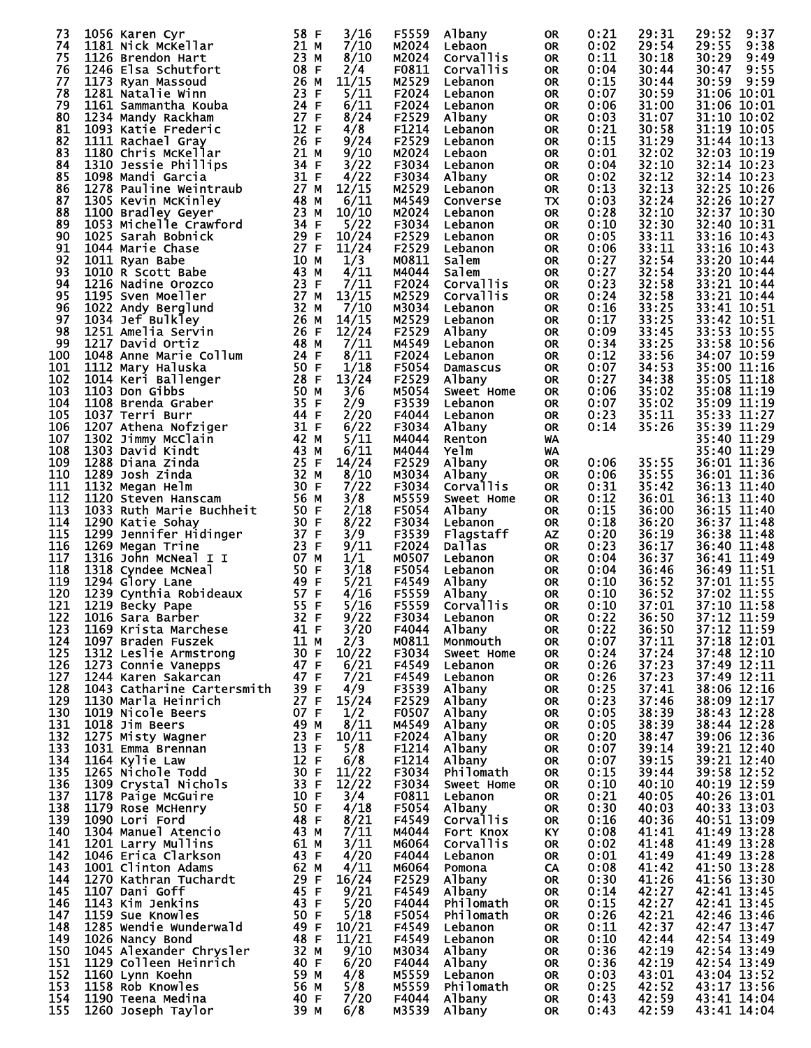| 73  | 1056 Karen Cyr                                                                                                                                                                                                                                                                                 | 58 F | 3/16  | F5559        | Albany           | 0R        | 0:21 | 29:31 | 29:52<br>9:37              |
|-----|------------------------------------------------------------------------------------------------------------------------------------------------------------------------------------------------------------------------------------------------------------------------------------------------|------|-------|--------------|------------------|-----------|------|-------|----------------------------|
| 74  | 1181 Nick McKellar                                                                                                                                                                                                                                                                             | 21 M | 7/10  |              | M2024 Lebaon     | OR.       | 0:02 | 29:54 | 29:55<br>9:38              |
| 75  | 1126 Brendon Hart                                                                                                                                                                                                                                                                              | 23 M | 8/10  | M2024        | Corvallis        | OR.       | 0:11 | 30:18 | 30:29<br>9:49              |
|     |                                                                                                                                                                                                                                                                                                |      |       |              |                  |           |      |       |                            |
| 76  | 1246 Elsa Schutfort                                                                                                                                                                                                                                                                            | 08 F | 2/4   | F0811        | Corvallis        | OR.       | 0:04 | 30:44 | 9:55<br>30:47              |
| 77  | 1173 Ryan Massoud                                                                                                                                                                                                                                                                              | 26 M | 11/15 | M2529        | Lebanon          | OR.       | 0:15 | 30:44 | 30:59<br>9:59              |
| 78  | 1281 Natalie Winn                                                                                                                                                                                                                                                                              | 23 F | 5/11  | F2024        | Lebanon          | OR.       | 0:07 | 30:59 | 31:06 10:01                |
|     |                                                                                                                                                                                                                                                                                                |      |       |              |                  |           |      |       |                            |
| 79  | 1161 Sammantha Kouba                                                                                                                                                                                                                                                                           | 24 F | 6/11  | F2024        | Lebanon          | OR.       | 0:06 | 31:00 | 31:06 10:01                |
| 80  | 1234 Mandy Rackham                                                                                                                                                                                                                                                                             | 27 F | 8/24  | F2529        | Albany           | OR.       | 0:03 | 31:07 | 31:10 10:02                |
| 81  | 1234 Manay Rackham<br>1093 Katie Frederic<br>1111 Rachael Gray<br>1180 Chris McKellar<br>1310 Jessie Phillips<br>1098 Mandi Garcia<br>1278 Pauline Weintraub<br>1305 Kevin McKinley<br>1100 Bradlev Gever                                                                                      | 12 F | 4/8   | F1214        |                  |           | 0:21 | 30:58 | 31:19 10:05                |
|     |                                                                                                                                                                                                                                                                                                |      |       |              | Lebanon          | OR        |      |       |                            |
| 82  |                                                                                                                                                                                                                                                                                                | 26 F | 9/24  | F2529        | Lebanon          | OR.       | 0:15 | 31:29 | 31:44 10:13                |
| 83  |                                                                                                                                                                                                                                                                                                | 21 M | 9/10  | M2024        | Lebaon           | OR        | 0:01 | 32:02 | 32:03 10:19                |
|     |                                                                                                                                                                                                                                                                                                | 34 F |       | F3034        |                  |           |      |       |                            |
| 84  |                                                                                                                                                                                                                                                                                                |      | 3/22  |              | Lebanon          | OR.       | 0:04 | 32:10 | 32:14 10:23                |
| 85  |                                                                                                                                                                                                                                                                                                | 31 F | 4/22  | F3034        | Albany           | OR.       | 0:02 | 32:12 | 32:14 10:23                |
| 86  |                                                                                                                                                                                                                                                                                                | 27 M | 12/15 | M2529        | Lebanon          | OR.       | 0:13 | 32:13 | 32:25 10:26                |
|     |                                                                                                                                                                                                                                                                                                |      |       |              |                  |           |      |       |                            |
| 87  |                                                                                                                                                                                                                                                                                                | 48 M | 6/11  | M4549        | Converse         | TX.       | 0:03 | 32:24 | 32:26 10:27                |
| 88  |                                                                                                                                                                                                                                                                                                | 23 M | 10/10 | M2024        | Lebanon          | OR        | 0:28 | 32:10 | 32:37 10:30                |
| 89  |                                                                                                                                                                                                                                                                                                | 34 F | 5/22  | F3034        | Lebanon          | OR.       | 0:10 | 32:30 | 32:40 10:31                |
|     |                                                                                                                                                                                                                                                                                                |      |       |              |                  |           |      |       |                            |
| 90  |                                                                                                                                                                                                                                                                                                | 29 F | 10/24 | F2529        | Lebanon          | OR.       | 0:05 | 33:11 | 33:16 10:43                |
| 91  |                                                                                                                                                                                                                                                                                                | 27 F | 11/24 | F2529        | Lebanon          | OR.       | 0:06 | 33:11 | 33:16 10:43                |
| 92  |                                                                                                                                                                                                                                                                                                | 10 M | 1/3   | M0811        | Salem            | OR.       | 0:27 | 32:54 | 33:20 10:44                |
|     |                                                                                                                                                                                                                                                                                                |      |       |              |                  |           |      |       |                            |
| 93  |                                                                                                                                                                                                                                                                                                | 43 M | 4/11  | M4044        | Salem            | OR.       | 0:27 | 32:54 | 33:20 10:44                |
| 94  |                                                                                                                                                                                                                                                                                                | 23 F | 7/11  | F2024        | Corvallis        | OR.       | 0:23 | 32:58 | 33:21 10:44                |
| 95  | 1305 Kevin McKinley<br>1100 Bradley Geyer<br>1053 Michelle Crawford<br>1025 Sarah Bobnick<br>1044 Marie Chase<br>1011 Ryan Babe<br>1010 R Scott Babe<br>1216 Nadine Orozco<br>1195 Sven Moeller<br>1022 Andy Berglund<br>1034 Jef Bulkley<br>1251 Amelia Servin                                | 27 M | 13/15 | M2529        | Corvallis        | OR.       | 0:24 | 32:58 | 33:21 10:44                |
|     |                                                                                                                                                                                                                                                                                                |      |       |              |                  |           |      |       |                            |
| 96  |                                                                                                                                                                                                                                                                                                | 32 M | 7/10  | M3034        | Lebanon          | 0R        | 0:16 | 33:25 | 33:41 10:51                |
| 97  |                                                                                                                                                                                                                                                                                                | 26 M | 14/15 | M2529        | Lebanon          | OR.       | 0:17 | 33:25 | 33:42 10:51                |
| 98  |                                                                                                                                                                                                                                                                                                | 26 F |       | F2529        |                  |           | 0:09 | 33:45 | 33:53 10:55                |
|     |                                                                                                                                                                                                                                                                                                |      | 12/24 |              | Albany           | OR.       |      |       |                            |
| 99  |                                                                                                                                                                                                                                                                                                | 48 M | 7/11  | M4549        | Lebanon          | OR.       | 0:34 | 33:25 | 33:58 10:56                |
| 100 |                                                                                                                                                                                                                                                                                                | 24 F | 8/11  | F2024        | Lebanon          | OR.       | 0:12 | 33:56 | 34:07 10:59                |
|     |                                                                                                                                                                                                                                                                                                |      |       |              |                  |           |      |       |                            |
| 101 |                                                                                                                                                                                                                                                                                                | 50 F | 1/18  | F5054        | Damascus         | OR.       | 0:07 | 34:53 | 35:00 11:16                |
| 102 |                                                                                                                                                                                                                                                                                                | 28 F | 13/24 | F2529        | Albany           | OR.       | 0:27 | 34:38 | 35:05 11:18                |
| 103 |                                                                                                                                                                                                                                                                                                | 50 M | 3/6   | M5054        | Sweet Home       | OR.       | 0:06 | 35:02 | 35:08 11:19                |
|     |                                                                                                                                                                                                                                                                                                |      |       |              |                  |           |      |       |                            |
| 104 |                                                                                                                                                                                                                                                                                                | 35 F | 2/9   | F3539        | Lebanon          | OR.       | 0:07 | 35:02 | 35:09 11:19                |
| 105 |                                                                                                                                                                                                                                                                                                |      | 2/20  | F4044        | Lebanon          | OR        | 0:23 | 35:11 | 35:33 11:27                |
| 106 |                                                                                                                                                                                                                                                                                                |      | 6/22  |              | F3034 Albany     | OR.       | 0:14 | 35:26 | 35:39 11:29                |
|     |                                                                                                                                                                                                                                                                                                |      |       |              |                  |           |      |       |                            |
| 107 |                                                                                                                                                                                                                                                                                                |      | 5/11  | M4044        | Renton           | <b>WA</b> |      |       | 35:40 11:29                |
| 108 |                                                                                                                                                                                                                                                                                                |      | 6/11  | M4044        | Yelm             | <b>WA</b> |      |       | 35:40 11:29                |
| 109 |                                                                                                                                                                                                                                                                                                |      |       |              |                  |           |      |       | 36:01 11:36                |
|     |                                                                                                                                                                                                                                                                                                |      | 14/24 | F2529        | Albany           | OR        | 0:06 | 35:55 |                            |
| 110 | 1037 Terri Burr 144 F<br>1037 Terri Burr 144 F<br>1207 Athena Nofziger 31<br>1303 Dawid Kindt 1303 David Kindt<br>1288 Diana Zinda 125 F<br>1289 Josh Zinda 32 M<br>1132 Megan Helm 30 F<br>1120 Steven Hanscam 56 M<br>1033 Ruth Marie Buchhe                                                 |      | 8/10  | м3034        | Albany           | OR.       | 0:06 | 35:55 | 36:01 11:36                |
| 111 |                                                                                                                                                                                                                                                                                                |      | 7/22  | F3034        | Corvallis        | OR        | 0:31 | 35:42 | 36:13 11:40                |
|     |                                                                                                                                                                                                                                                                                                |      |       |              |                  |           |      |       |                            |
| 112 |                                                                                                                                                                                                                                                                                                |      | 3/8   | M5559        | Sweet Home       | OR        | 0:12 | 36:01 | 36:13 11:40                |
| 113 |                                                                                                                                                                                                                                                                                                |      | 2/18  | F5054        | Albany           | OR.       | 0:15 | 36:00 | 36:15 11:40                |
| 114 | 1290 Katie Sohay                                                                                                                                                                                                                                                                               | 30 F | 8/22  | F3034        | Lebanon          | OR.       | 0:18 | 36:20 | 36:37 11:48                |
|     |                                                                                                                                                                                                                                                                                                |      |       |              |                  |           |      |       |                            |
| 115 |                                                                                                                                                                                                                                                                                                |      | 3/9   | F3539        | Flagstaff        | AZ        | 0:20 | 36:19 | 36:38 11:48                |
| 116 |                                                                                                                                                                                                                                                                                                |      | 9/11  | F2024        | <b>Dallas</b>    | OR        | 0:23 | 36:17 | 36:40 11:48                |
| 117 |                                                                                                                                                                                                                                                                                                |      | 1/1   | M0507        |                  |           | 0:04 | 36:37 | 36:41 11:49                |
|     |                                                                                                                                                                                                                                                                                                |      |       |              | Lebanon          | OR.       |      |       |                            |
| 118 |                                                                                                                                                                                                                                                                                                |      | 3/18  | F5054        | Lebanon          | OR        | 0:04 | 36:46 | 36:49 11:51                |
| 119 |                                                                                                                                                                                                                                                                                                |      | 5/21  | F4549        | Albany           | OR        | 0:10 | 36:52 | 37:01 11:55                |
| 120 |                                                                                                                                                                                                                                                                                                |      |       | F5559        |                  |           | 0:10 | 36:52 | 37:02 11:55                |
|     |                                                                                                                                                                                                                                                                                                |      | 4/16  |              | Albany           | <b>OR</b> |      |       |                            |
| 121 |                                                                                                                                                                                                                                                                                                |      | 5/16  | F5559        | Corvallis        | <b>OR</b> | 0:10 | 37:01 | 37:10 11:58                |
| 122 | 1290 Native Sonay<br>1299 Jennifer Hidinger<br>1269 Megan Trine<br>1316 John McNeal<br>1318 Cyndee McNeal<br>1294 Glory Lane<br>1299 Cynthia Robideaux<br>1239 Cynthia Robideaux<br>1219 Becky Pape<br>1219 Becky Pape<br>1016 Sara Barber<br>1016 Sara Barber<br><br>1016 Sara Barber<br>32 F |      | 9/22  |              | F3034 Lebanon OR |           | 0:22 | 36:50 | 37:12 11:59                |
|     |                                                                                                                                                                                                                                                                                                |      |       |              |                  |           |      |       |                            |
| 123 | 1169 Krista Marchese                                                                                                                                                                                                                                                                           | 41 F | 3/20  | F4044        | Albany           | 0R        | 0:22 | 36:50 | 37:12 11:59                |
| 124 | 1097 Braden Fuszek                                                                                                                                                                                                                                                                             | 11 M | 2/3   | <b>M0811</b> | Monmouth         | OR.       | 0:07 | 37:11 | 37:18 12:01                |
| 125 | 1312 Leslie Armstrong                                                                                                                                                                                                                                                                          | 30 F | 10/22 | F3034        | Sweet Home       | <b>OR</b> | 0:24 | 37:24 | $37:48$ $12:10$            |
|     |                                                                                                                                                                                                                                                                                                |      |       |              |                  |           |      |       |                            |
| 126 | 1273 Connie Vanepps                                                                                                                                                                                                                                                                            | 47 F | 6/21  | F4549        | Lebanon          | OR.       | 0:26 | 37:23 | 37:49 12:11                |
| 127 | 1244 Karen Sakarcan                                                                                                                                                                                                                                                                            | 47 F | 7/21  | F4549        | Lebanon          | OR.       | 0:26 | 37:23 | 37:49 12:11                |
| 128 | 1043 Catharine Cartersmith                                                                                                                                                                                                                                                                     | 39 F | 4/9   | F3539        | Albany           | OR.       | 0:25 | 37:41 | 38:06 12:16                |
|     |                                                                                                                                                                                                                                                                                                |      |       |              |                  |           |      |       |                            |
| 129 | 1130 Marla Heinrich                                                                                                                                                                                                                                                                            | 27 F | 15/24 | F2529        | Albany           | 0R        | 0:23 | 37:46 | $38:09$ $\overline{12}:17$ |
| 130 | 1019 Nicole Beers                                                                                                                                                                                                                                                                              | 07 F | 1/2   | F0507        | Albany           | OR.       | 0:05 | 38:39 | 38:43 12:28                |
| 131 | 1018 Jim Beers                                                                                                                                                                                                                                                                                 | 49 M | 8/11  | M4549        | Albany           | 0R        | 0:05 | 38:39 | 38:44 12:28                |
|     |                                                                                                                                                                                                                                                                                                |      |       |              |                  |           |      |       |                            |
| 132 | 1275 Misty Wagner                                                                                                                                                                                                                                                                              | 23 F | 10/11 | F2024        | Albany           | OR.       | 0:20 | 38:47 | 39:06 12:36                |
| 133 | 1031 Emma Brennan                                                                                                                                                                                                                                                                              | 13 F | 5/8   | F1214        | Albany           | OR.       | 0:07 | 39:14 | 39:21 12:40                |
| 134 | 1164 Kylie_Law                                                                                                                                                                                                                                                                                 | 12 F | 6/8   | F1214        | Albany           | OR.       | 0:07 | 39:15 | 39:21 12:40                |
|     |                                                                                                                                                                                                                                                                                                |      |       |              |                  |           |      |       |                            |
| 135 | 1265 Nichole Todd                                                                                                                                                                                                                                                                              | 30 F | 11/22 | F3034        | <b>Philomath</b> | OR.       | 0:15 | 39:44 | 39:58 12:52                |
| 136 | 1309 Crystal Nichols                                                                                                                                                                                                                                                                           | 33 F | 12/22 | F3034        | Sweet Home       | OR.       | 0:10 | 40:10 | 40:19 12:59                |
| 137 | 1178 Paige McGuire                                                                                                                                                                                                                                                                             | 10 F | 3/4   | F0811        | Lebanon          | <b>OR</b> | 0:21 | 40:05 | 40:26 13:01                |
|     |                                                                                                                                                                                                                                                                                                |      |       |              |                  |           |      |       |                            |
| 138 | 1179 Rose McHenry                                                                                                                                                                                                                                                                              | 50 F | 4/18  | F5054        | Albany           | <b>OR</b> | 0:30 | 40:03 | 40:33 13:03                |
| 139 | 1090 Lori Ford                                                                                                                                                                                                                                                                                 | 48 F | 8/21  | F4549        | Corvallis        | <b>OR</b> | 0:16 | 40:36 | 40:51 13:09                |
| 140 | 1304 Manuel Atencio                                                                                                                                                                                                                                                                            | 43 M | 7/11  | M4044        |                  |           | 0:08 | 41:41 | 41:49 13:28                |
|     |                                                                                                                                                                                                                                                                                                |      |       |              | <b>Fort Knox</b> | KY.       |      |       |                            |
| 141 | 1201 Larry Mullins                                                                                                                                                                                                                                                                             | 61 M | 3/11  | м6064        | Corvallis        | <b>OR</b> | 0:02 | 41:48 | 41:49 13:28                |
| 142 | 1046 Erica Clarkson                                                                                                                                                                                                                                                                            | 43 F | 4/20  | F4044        | Lebanon          | <b>OR</b> | 0:01 | 41:49 | 41:49 13:28                |
|     |                                                                                                                                                                                                                                                                                                |      |       |              |                  |           |      |       |                            |
| 143 | 1001 Clinton Adams                                                                                                                                                                                                                                                                             | 62 M | 4/11  | м6064        | Pomona           | CA        | 0:08 | 41:42 | 41:50 13:28                |
| 144 | 1270 Kathran Tuchardt                                                                                                                                                                                                                                                                          | 29 F | 16/24 | F2529        | Albany           | <b>OR</b> | 0:30 | 41:26 | 41:56 13:30                |
| 145 | 1107 Dani Goff                                                                                                                                                                                                                                                                                 | 45 F | 9/21  | F4549        | Albany           | 0R        | 0:14 | 42:27 | 42:41 13:45                |
|     |                                                                                                                                                                                                                                                                                                |      |       |              |                  |           |      |       |                            |
| 146 | 1143 Kim Jenkins                                                                                                                                                                                                                                                                               | 43 F | 5/20  | F4044        | <b>Philomath</b> | OR.       | 0:15 | 42:27 | 42:41 13:45                |
| 147 | 1159 Sue Knowles                                                                                                                                                                                                                                                                               | 50 F | 5/18  | F5054        | <b>Philomath</b> | 0R        | 0:26 | 42:21 | 42:46 13:46                |
| 148 | 1285 Wendie Wunderwald                                                                                                                                                                                                                                                                         | 49 F | 10/21 | F4549        | Lebanon          | OR.       | 0:11 | 42:37 | 42:47 13:47                |
|     |                                                                                                                                                                                                                                                                                                |      |       |              |                  |           |      |       |                            |
| 149 | 1026 Nancy Bond                                                                                                                                                                                                                                                                                | 48 F | 11/21 | F4549        | Lebanon          | <b>OR</b> | 0:10 | 42:44 | 42:54 13:49                |
| 150 | 1045 Alexander Chrysler                                                                                                                                                                                                                                                                        | 32 M | 9/10  | м3034        | Albany           | OR.       | 0:36 | 42:19 | 42:54 13:49                |
| 151 | 1129 Colleen Heinrich                                                                                                                                                                                                                                                                          | 40 F | 6/20  | F4044        | Albany           | OR.       | 0:36 | 42:19 | 42:54 13:49                |
|     |                                                                                                                                                                                                                                                                                                |      |       |              |                  |           |      |       |                            |
| 152 | 1160 Lynn Koehn                                                                                                                                                                                                                                                                                | 59 M | 4/8   | M5559        | Lebanon          | OR.       | 0:03 | 43:01 | 43:04 13:52                |
| 153 | 1158 Rob Knowles                                                                                                                                                                                                                                                                               | 56 M | 5/8   | M5559        | Philomath        | <b>OR</b> | 0:25 | 42:52 | 43:17 13:56                |
| 154 | 1190 Teena Medina                                                                                                                                                                                                                                                                              | 40 F | 7/20  | F4044        | Albany           | OR.       | 0:43 | 42:59 | 43:41 14:04                |
|     |                                                                                                                                                                                                                                                                                                |      |       |              |                  |           |      |       |                            |
| 155 | 1260 Joseph Taylor                                                                                                                                                                                                                                                                             | 39 M | 6/8   | M3539        | Albany           | 0R        | 0:43 | 42:59 | 43:41 14:04                |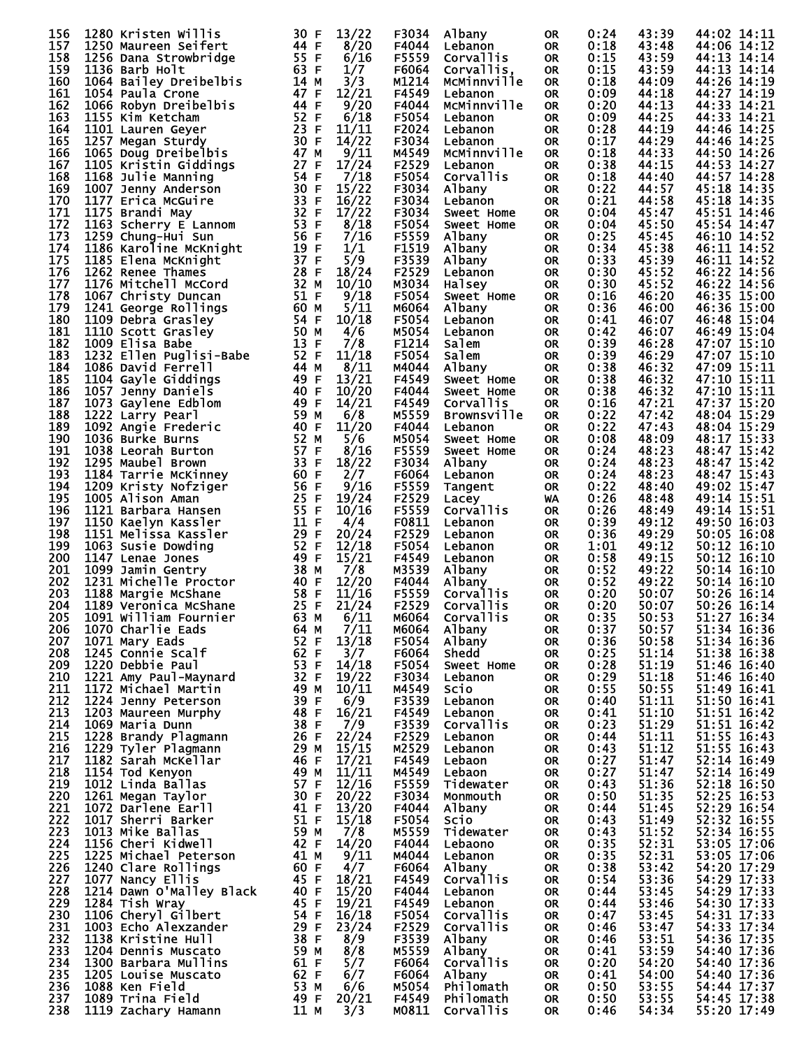| 156        | 1280 Kristen Willis                                                                                            | 30 F         | 13/22                         | F3034          | Albany                 | <b>OR</b> | 0:24         | 43:39          | 44:02 14:11                |
|------------|----------------------------------------------------------------------------------------------------------------|--------------|-------------------------------|----------------|------------------------|-----------|--------------|----------------|----------------------------|
|            |                                                                                                                |              |                               |                |                        |           |              |                |                            |
| 157        | 1250 Maureen Seifert                                                                                           | 44 F         | 8/20                          | F4044          | Lebanon                | <b>OR</b> | 0:18         | 43:48          | 44:06 14:12                |
| 158        | 1256 Dana Strowbridge                                                                                          | 55 F         | 6/16                          | F5559          | Corvallis              | <b>OR</b> | 0:15         | 43:59          | 44:13 14:14                |
| 159        | 1136 Barb Holt                                                                                                 | 63 F         | 1/7                           | F6064          | Corvallis,             | <b>OR</b> | 0:15         | 43:59          | 44:13 14:14                |
| 160        | 1064 Bailey Dreibelbis                                                                                         | 14 M         | 3/3                           | M1214          | McMinnville            | <b>OR</b> | 0:18         | 44:09          | 44:26 14:19                |
| 161        |                                                                                                                | 47 F         | 12/21                         |                |                        |           |              | 44:18          |                            |
|            | 1054 Paula Crone                                                                                               |              |                               | F4549          | Lebanon                | <b>OR</b> | 0:09         |                | 44:27 14:19                |
| 162        | 1066 Robyn Dreibelbis                                                                                          | 44 F         | 9/20                          | F4044          | MCMinnville            | <b>OR</b> | 0:20         | 44:13          | 44:33 14:21                |
| 163        | 1155 Kim Ketcham                                                                                               | 52 F         | 6/18                          | F5054          | Lebanon                | <b>OR</b> | 0:09         | 44:25          | 44:33 14:21                |
| 164        | 1101 Lauren Geyer                                                                                              | 23 F         | 11/11                         | F2024          | Lebanon                | <b>OR</b> | 0:28         | 44:19          | 44:46 14:25                |
| 165        |                                                                                                                | 30 F         | 14/22                         | F3034          |                        | <b>OR</b> | 0:17         | 44:29          | 44:46 14:25                |
|            | 1257 Megan Sturdy                                                                                              |              |                               |                | Lebanon                |           |              |                |                            |
| 166        | 1065 Doug Dreibelbis                                                                                           | 47 M         | 9/11                          | M4549          | MCMinnville            | <b>OR</b> | 0:18         | 44:33          | 44:50 14:26                |
| 167        | 1105 Kristin Giddings                                                                                          | 27 F         | 17/24                         | F2529          | Lebanon                | <b>OR</b> | 0:38         | 44:15          | 44:53 14:27                |
| 168        | 1168 Julie Manning                                                                                             | 54 F         | 7/18                          | F5054          | Corvallis              | <b>OR</b> | 0:18         | 44:40          | 44:57 14:28                |
|            |                                                                                                                |              |                               |                |                        |           |              |                |                            |
| 169        | 1007 Jenny Anderson                                                                                            | 30 F         | 15/22                         | F3034          | Albany                 | 0R        | 0:22         | 44:57          | 45:18 14:35                |
| 170        | 1177 Erica McGuire                                                                                             | 33 F         | 16/22                         | F3034          | Lebanon                | <b>OR</b> | 0:21         | 44:58          | 45:18 14:35                |
| 171        | 1175 Brandi May                                                                                                | 32 F         | 17/22                         | F3034          | Sweet Home             | 0R        | 0:04         | 45:47          | 45:51 14:46                |
| 172        | 11/5 B.C.<br>1163 Scherry E Lum<br>1259 Chung-Hui Sun<br>1186 Karoline McKnight<br>1185 Elena McKnight         | 53 F         | 8/18                          | F5054          | Sweet Home             | <b>OR</b> | 0:04         | 45:50          | 45:54 14:47                |
|            |                                                                                                                |              |                               |                |                        |           |              |                |                            |
| 173        |                                                                                                                | 56 F         | 7/16                          | F5559          | Albany                 | <b>OR</b> | 0:25         | 45:45          | 46:10 14:52                |
| 174        |                                                                                                                | 19 F         | 1/1                           | F1519          | Albany                 | <b>OR</b> | 0:34         | 45:38          | 46:11 14:52                |
| 175        |                                                                                                                | 37 F         | 5/9                           | F3539          | Albany                 | OR        | 0:33         | 45:39          | 46:11 14:52                |
| 176        |                                                                                                                | 28 F         | 18/24                         | F2529          | Lebanon                | <b>OR</b> | 0:30         | 45:52          | 46:22 14:56                |
|            |                                                                                                                |              |                               |                |                        |           |              |                |                            |
| 177        | 1176 Mitchell McCord                                                                                           | 32 M         | 10/10                         | M3034          | Halsey                 | OR        | 0:30         | 45:52          | 46:22 14:56                |
| 178        | 1067 Christy Duncan                                                                                            | 51 F         | 9/18                          | F5054          | Sweet Home             | <b>OR</b> | 0:16         | 46:20          | 46:35 15:00                |
| 179        | 1241 George Rollings                                                                                           | 60 M         | 5/11                          | м6064          | Albany                 | <b>OR</b> | 0:36         | 46:00          | 46:36 15:00                |
| 180        | 1241 George Rollings<br>1109 Debra Grasley<br>1110 Scott Grasley<br>1009 Elisa Babe<br>1232 Ellen Puglisi-Babe | 54 F         | 10/18                         | F5054          | Lebanon                | <b>OR</b> | 0:41         | 46:07          | 46:48 15:04                |
|            |                                                                                                                |              |                               |                |                        |           |              |                |                            |
| 181        |                                                                                                                | 50 M         | 4/6                           | M5054          | Lebanon                | OR        | 0:42         | 46:07          | 46:49 15:04                |
| 182        |                                                                                                                | 13 F         | 7/8                           | F1214          | Salem                  | <b>OR</b> | 0:39         | 46:28          | 47:07 15:10                |
| 183        |                                                                                                                | 52 F         | 11/18                         | F5054          | Salem                  | <b>OR</b> | 0:39         | 46:29          | 47:07 15:10                |
| 184        | 1086 David Ferrell                                                                                             | 44 M         | 8/11                          | M4044          |                        | <b>OR</b> | 0:38         | 46:32          | 47:09 15:11                |
|            |                                                                                                                |              |                               |                | Albany                 |           |              |                |                            |
| 185        | 1104 Gayle Giddings                                                                                            | 49 F         | 13/21                         | F4549          | Sweet Home             | OR        | 0:38         | 46:32          | 47:10 15:11                |
| 186        | 1057 Jenny Daniels                                                                                             | 40 F         | 10/20                         | F4044          | Sweet Home             | <b>OR</b> | 0:38         | 46:32          | 47:10 15:11                |
| 187        | 1073 Gaylene Edblom                                                                                            | 49 F         | 14/21                         | F4549          | Corvallis              | <b>OR</b> | 0:16         | 47:21          | 47:37 15:20                |
|            |                                                                                                                |              |                               |                |                        |           |              |                |                            |
| 188        | 1222 Larry Pearl                                                                                               | 59 M         | 6/8                           | M5559          | <b>Brownsville</b>     | <b>OR</b> | 0:22         | 47:42          | 48:04 15:29                |
| 189        | 1092 Angie Frederic                                                                                            | 40 F         | 11/20                         | F4044          | Lebanon                | <b>OR</b> | 0:22         | 47:43          | 48:04 15:29                |
| 190        | 1036 Burke Burns                                                                                               | 52 M         | 5/6                           | M5054          | Sweet Home             | <b>OR</b> | 0:08         | 48:09          | 48:17 15:33                |
| 191        | 1038 Leorah Burton                                                                                             | 57 F         | 8/16                          | F5559          | Sweet Home             | <b>OR</b> | 0:24         | 48:23          | 48:47 15:42                |
|            |                                                                                                                |              |                               |                |                        |           |              |                |                            |
| 192        | 1295 Maubel Brown                                                                                              | 33 F         | 18/22                         | F3034          | Albany                 | <b>OR</b> | 0:24         | 48:23          | 48:47 15:42                |
| 193        | 1184 Tarrie McKinney                                                                                           | 60 F         | 2/7                           | F6064          | Lebanon                | OR        | 0:24         | 48:23          | 48:47 15:43                |
| 194        | 1209 Kristy Nofziger                                                                                           | 56 F         | 9/16                          | F5559          | Tangent                | OR        | 0:22         | 48:40          | 49:02 15:47                |
| 195        | 1005 Alison Aman                                                                                               | 25 F         | 19/24                         | F2529          | Lacey                  | WA        | 0:26         | 48:48          | 49:14 15:51                |
|            |                                                                                                                |              |                               |                |                        |           |              |                |                            |
| 196        | 1121 Barbara Hansen                                                                                            | 55 F         | 10/16                         | F5559          | <b>Corvallis</b>       | <b>OR</b> | 0:26         | 48:49          | 49:14 15:51                |
| 197        | 1150 Kaelyn Kassler                                                                                            | 11 F         | 4/4                           | F0811          | Lebanon                | OR        | 0:39         | 49:12          | 49:50 16:03                |
| 198        | 1151 Melissa Kassler                                                                                           | 29 F         | 20/24                         | F2529          | Lebanon                | <b>OR</b> | 0:36         | 49:29          | 50:05 16:08                |
| 199        | 1063 Susie Dowding                                                                                             | 52 F         | 12/18                         | F5054          | Lebanon                | OR        | 1:01         | 49:12          | 50:12 16:10                |
|            |                                                                                                                |              |                               |                |                        |           |              |                |                            |
| 200        | 1147 Lenae Jones                                                                                               | 49 F         | 15/21                         | F4549          | Lebanon                | <b>OR</b> | 0:58         | 49:15          | 50:12 16:10                |
| 201        | 1099 Jamin Gentry                                                                                              | 38 M         | 7/8                           | M3539          | Albany                 | OR.       | 0:52         | 49:22          | 50:14 16:10                |
| 202        | 1231 Michelle Proctor                                                                                          | 40 F         | 12/20                         | F4044          | Albany                 | <b>OR</b> | 0:52         | 49:22          | 50:14 16:10                |
| 203        | 1188 Margie McShane                                                                                            | 58 F         | 11/16                         | F5559          | Corvallis              | <b>OR</b> | 0:20         | 50:07          | 50:26 16:14                |
|            |                                                                                                                |              |                               |                |                        |           |              |                |                            |
| 204        | 1189 Veronica McShane                                                                                          | 25 F         | 21/24                         | F2529          | Corvallis              | <b>OR</b> | 0:20         | 50:07          | 50:26 16:14                |
| 205        | 1091 William Fournier                                                                                          | 63 M $6/11$  |                               |                | M6064 Corvallis        | OR        | 0:35         | 50:53          | 51:27 16:34                |
| 206        | 1070 Charlie Eads                                                                                              | 64 M         | 7/11                          | M6064          | Albany                 | 0R        | 0:37         | 50:57          | 51:34 16:36                |
| 207        | 1071 Mary Eads                                                                                                 | 52 F         | 13/18                         | F5054          | Albany                 | 0R        | 0:36         | 50:58          | 51:34 16:36                |
|            |                                                                                                                | 62 F         |                               |                |                        |           |              |                |                            |
| 208        | 1245 Connie Scalf                                                                                              |              | 3/7                           | F6064          | Shedd                  | 0R        | 0:25         | 51:14          | 51:38 16:38                |
| 209        | 1220 Debbie Paul                                                                                               | 53 F         | 14/18                         | F5054          | Sweet Home             | 0R        | 0:28         | 51:19          | 51:46 16:40                |
| 210        | 1221 Amy Paul-Maynard                                                                                          | 32 F         | 19/22                         | F3034          | Lebanon                | 0R        | 0:29         | 51:18          | 51:46 16:40                |
| 211        | 1172 Michael Martin                                                                                            | 49 M         | 10/11                         | M4549          | <b>SCTO</b>            | 0R        | 0:55         | 50:55          | 51:49 16:41                |
| 212        | 1224 Jenny Peterson                                                                                            | 39 F         | 6/9                           | F3539          |                        |           | 0:40         | 51:11          | 51:50 16:41                |
|            |                                                                                                                |              |                               |                | Lebanon                | 0R        |              |                |                            |
| 213        | 1203 Maureen Murphy                                                                                            | 48 F         | 16/21                         | F4549          | Lebanon                | 0R        | 0:41         | 51:10          | 51:51 16:42                |
| 214        | 1069 Maria Dunn                                                                                                | 38 F         |                               | F3539          | Corvallis              | 0R        | 0:23         | 51:29          |                            |
| 215        | 1228 Brandy Plagmann                                                                                           | 26 F         | $\frac{7}{9}$<br>22/24        | F2529          | Lebanon                | 0R        | 0:44         | 51:11          | 51:51 16:42<br>51:55 16:43 |
| 216        | 1229 Tyler Plagmann                                                                                            | 29 M         | $\frac{15}{17}/\frac{15}{21}$ | M2529          | Lebanon                | 0R        | 0:43         | 51:12          | 51:55 16:43                |
|            |                                                                                                                |              |                               |                |                        |           |              |                |                            |
| 217        | 1182 Sarah McKellar                                                                                            | 46 F         |                               | F4549          | Lebaon                 | 0R        | 0:27         | 51:47          | 52:14 16:49                |
| 218        | 1154 Tod Kenyon                                                                                                | 49 M         | $\frac{11/11}{12/16}$         | M4549          | Lebaon                 | 0R        | 0:27         | 51:47          | 52:14 16:49                |
| 219        | 1012 Linda Ballas                                                                                              | 57 F         |                               | F5559          | Tidewater              | 0R        | 0:43         | 51:36          | 52:18 16:50                |
| 220        | 1261 Megan Taylor                                                                                              | 30 F         | 20/22                         | F3034          | Monmouth               | 0R        | 0:50         | 51:35          | 52:25 16:53                |
|            |                                                                                                                |              |                               |                |                        |           |              |                |                            |
| 221        | 1072 Darlene Earll                                                                                             | 41 F         | 13/20                         | F4044          | Albany                 | 0R        | 0:44         | 51:45          | $52:29$ 16:54              |
| 222        | 1017 Sherri Barker                                                                                             | 51 F         | 15/18                         | F5054          | <b>SCTO</b>            | 0R        | 0:43         | 51:49          | 52:32 16:55                |
| 223        | 1013 Mike Ballas                                                                                               | 59 M         | 7/8                           | M5559          | Tidewater              | 0R        | 0:43         | 51:52          | 52:34 16:55                |
| 224        | 1156 Cheri Kidwell                                                                                             | 42 F         | 14/20                         | F4044          | Lebaono                | 0R        | 0:35         | 52:31          | 53:05 17:06                |
| 225        | 1225 Michael Peterson                                                                                          | 41 M         | 9/11                          | M4044          | Lebanon                | 0R        | 0:35         | 52:31          | 53:05 17:06                |
|            |                                                                                                                |              |                               |                |                        |           |              |                |                            |
| 226        | 1240 Clare Rollings                                                                                            | 60 F         | 4/7                           | F6064          | Albany                 | 0R        | 0:38         | 53:42          | 54:20 17:29                |
| 227        | 1077 Nancy Ellis                                                                                               | 45 F         | 18/21                         | F4549          | <b>Corvallis</b>       | 0R        | 0:54         | 53:36          | 54:29 17:33                |
| 228        | 1214 Dawn O'Malley Black                                                                                       | 40 F         | 15/20                         | F4044          | Lebanon                | 0R        | 0:44         | 53:45          | 54:29 17:33                |
| 229        | 1284 Tish Wray                                                                                                 | 45 F         | 19/21                         | F4549          | Lebanon                | 0R        | 0:44         | 53:46          | 54:30 17:33                |
|            |                                                                                                                |              |                               |                |                        |           |              |                |                            |
| 230        | 1106 Cheryl Gilbert                                                                                            | 54 F         | 16/18                         | F5054          | Corvallis              | 0R        | 0:47         | 53:45          | 54:31 17:33                |
| 231        | 1003 Echo Alexzander                                                                                           | 29 F         | 23/24                         | F2529          | Corvallis              | 0R        | 0:46         | 53:47          | 54:33 17:34                |
| 232        | 1138 Kristine Hull                                                                                             | 38 F         | 8/9                           | F3539          | Albany                 | 0R        | 0:46         | 53:51          | 54:36 17:35                |
| 233        | 1204 Dennis Muscato                                                                                            | 59 M         | 8/8                           | M5559          | Albany                 | 0R        | 0:41         | 53:59          | 54:40 17:36                |
|            |                                                                                                                |              |                               |                |                        |           |              |                |                            |
| 234        | 1300 Barbara Mullins                                                                                           | 61 F         | 5/7                           | F6064          | Corvallis              | 0R        | 0:20         | 54:20          | 54:40 17:36                |
| 235        | 1205 Louise Muscato                                                                                            | 62 F         | 6/7                           | F6064          | Albany                 | 0R        | 0:41         | 54:00          | 54:40 17:36                |
| 236        |                                                                                                                |              | 6/6                           | M5054          | Philomath              | 0R        | 0:50         | 53:55          | 54:44 17:37                |
|            |                                                                                                                |              |                               |                |                        |           |              |                |                            |
|            | 1088 Ken Field                                                                                                 | 53 M         |                               |                |                        |           |              |                |                            |
| 237<br>238 | 1089 Trina Field<br>1119 Zachary Hamann                                                                        | 49 F<br>11 M | 20/21<br>3/3                  | F4549<br>M0811 | Philomath<br>Corvallis | 0R<br>0R  | 0:50<br>0:46 | 53:55<br>54:34 | 54:45 17:38<br>55:20 17:49 |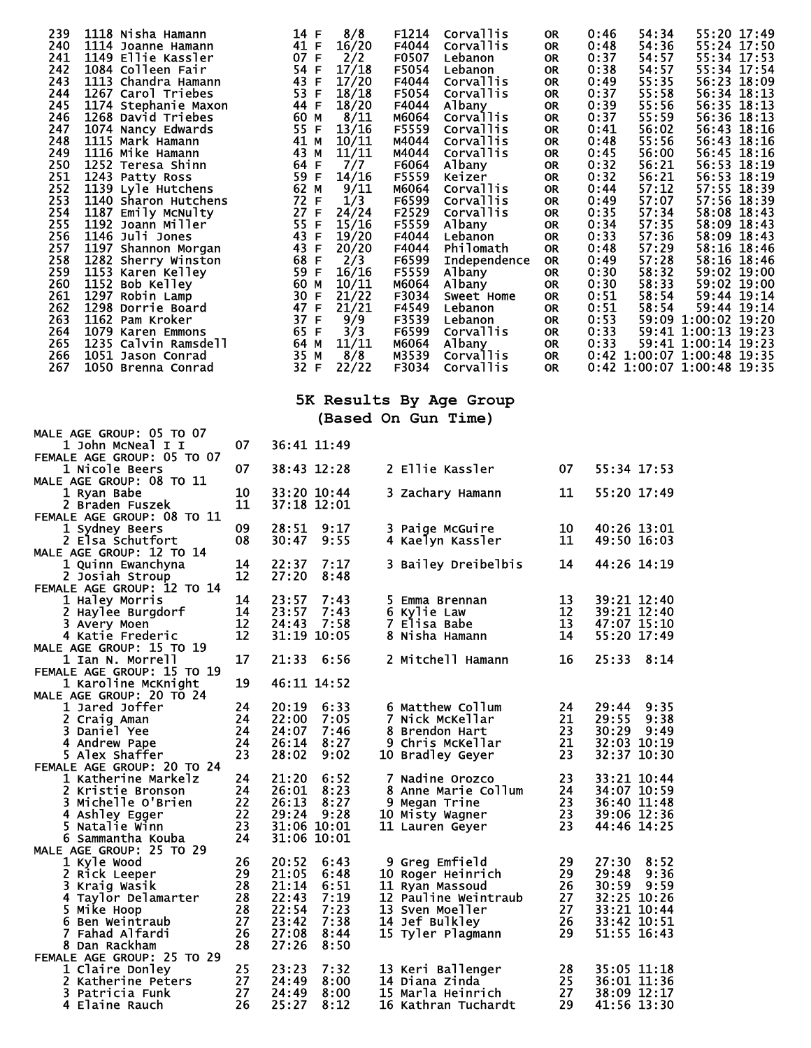| 239<br>1118 Nisha Hamann<br>240<br>1114 Joanne Hamann<br>241<br>1149 Ellie Kassler<br>242<br>243<br>244<br>245<br>143<br>113 Chandra Ham<br>113 Carol Triebes<br>1174 Stephanie Maxon<br>1268 David Triebes<br>1268 David Triebes<br>1268 Mancy Edwards<br>129 Mancy Edwards<br>246<br>247<br>248<br>249<br>250<br>1116 Mike Hamann and 1252 Teresa Shinn 64<br>1243 Patty Ross 59<br>1139 Lyle Hutchens 62<br>1139 Lyle Hutchens 62<br>1140 Sharon Hutchens 727 FF<br>1187 Emily McNulty 727 FF<br>1187 Emily McNulty 727 FF<br>1192 Joann Miller<br>1152 Sharon Morgan<br><br>251<br>252<br>253<br>254<br>255<br>256<br>257<br>258<br>259<br>260<br>261<br>262<br>263<br>1079 Karen Emmons<br>1235 Calvin Ramsdell<br>264<br>265<br>266<br>1051 Jason Conrad<br>267<br>1050 Brenna Conrad |          | 14 F<br>41 F<br>07 F<br>54 F<br>43 F<br>53 F<br>44 F<br>60 M<br>55 F<br>41 M<br>43 M<br>65 F<br>64 M<br>35 M<br>32 F | 8/8<br>16/20<br>2/2<br>17/18<br>17/20<br>18/18<br>18/20<br>8/11<br>13/16<br>10/11<br>11/11<br>7/7<br>14/16<br>9/11<br>1/3<br>24/24<br>15/16<br>19/20<br>20/20<br>2/3<br>16/16<br>10/11<br>21/22<br>21/21<br>$\frac{9/9}{3/3}$<br>11/11<br>8/8<br>22/22 | F1214<br>F4044<br>F0507<br>F5054<br>F4044<br>F5054<br>F4044<br>M6064<br>F5559<br>M4044<br>M4044<br>F6064<br>F5559<br>M6064<br>F6599<br>F2529<br>F5559<br>F4044<br>F4044<br>F6599<br>F5559<br>M6064<br>F3034<br>F4549<br>F3539<br>F6599<br>M6064<br>M3539<br>F3034 | Corvallis<br><b>Corvallis</b><br>Lebanon<br>Lebanon<br>Corvallis<br>Corvallis<br>Albany<br><b>Corvallis</b><br>Corvallis<br>Corvallis<br>Corvallis<br>Albany<br>Keizer<br><b>Corvallis</b><br>Corvallis<br>Corvallis<br>Albany<br>Lebanon<br>Philomath<br>Independence<br>Albany<br>Albany<br>Sweet Home<br>Lebanon<br>Lebanon<br>Corvallis<br>Albany<br>Corvallis<br>Corvallis | 0R<br><b>OR</b><br>0R<br><b>OR</b><br>0R<br>OR<br>0R<br>0R<br>0R<br><b>OR</b><br>0R<br><b>OR</b><br>OR<br>0R<br>0R<br><b>OR</b><br>0R<br>0R<br>0R<br><b>OR</b><br>0R<br><b>OR</b><br>0R<br>OR<br>OR<br>OR<br>OR<br>OR<br>OR | 0:46<br>0:48<br>0:37<br>0:38<br>0:49<br>0:37<br>0:39<br>0:37<br>0:41<br>0:48<br>0:45<br>0:32<br>0:32<br>0:44<br>0:49<br>0:35<br>0:34<br>0:33<br>0:48<br>0:49<br>0:30<br>0:30<br>0:51<br>0:51<br>0:53<br>0:33 | 54:34<br>54:36<br>54:57<br>54:57<br>55:35<br>55:58<br>55:56<br>55:59<br>56:02<br>55:56<br>56:00<br>56:21<br>56:21<br>57:12<br>57:07<br>57:34<br>57:35<br>57:36<br>57:29<br>57:28<br>58:32<br>58:33<br>58:54<br>58:54 | 55:20 17:49<br>55:24 17:50<br>55:34 17:53<br>55:34 17:54<br>56:23 18:09<br>56:34 18:13<br>56:35 18:13<br>56:36 18:13<br>56:43 18:16<br>56:43 18:16<br>56:45 18:16<br>56:53 18:19<br>56:53 18:19<br>57:55 18:39<br>57:56 18:39<br>58:08 18:43<br>58:09 18:43<br>58:09 18:43<br>58:16 18:46<br>58:16 18:46<br>59:02 19:00<br>59:02 19:00<br>59:44 19:14<br>59:44 19:14<br>59:09 1:00:02 19:20<br>59:41 1:00:13 19:23<br>0:33 59:41 1:00:14 19:23<br>0:42 1:00:07 1:00:48 19:35<br>0:42 1:00:07 1:00:48 19:35 |
|---------------------------------------------------------------------------------------------------------------------------------------------------------------------------------------------------------------------------------------------------------------------------------------------------------------------------------------------------------------------------------------------------------------------------------------------------------------------------------------------------------------------------------------------------------------------------------------------------------------------------------------------------------------------------------------------------------------------------------------------------------------------------------------------|----------|----------------------------------------------------------------------------------------------------------------------|--------------------------------------------------------------------------------------------------------------------------------------------------------------------------------------------------------------------------------------------------------|-------------------------------------------------------------------------------------------------------------------------------------------------------------------------------------------------------------------------------------------------------------------|---------------------------------------------------------------------------------------------------------------------------------------------------------------------------------------------------------------------------------------------------------------------------------------------------------------------------------------------------------------------------------|-----------------------------------------------------------------------------------------------------------------------------------------------------------------------------------------------------------------------------|--------------------------------------------------------------------------------------------------------------------------------------------------------------------------------------------------------------|----------------------------------------------------------------------------------------------------------------------------------------------------------------------------------------------------------------------|------------------------------------------------------------------------------------------------------------------------------------------------------------------------------------------------------------------------------------------------------------------------------------------------------------------------------------------------------------------------------------------------------------------------------------------------------------------------------------------------------------|
|                                                                                                                                                                                                                                                                                                                                                                                                                                                                                                                                                                                                                                                                                                                                                                                             |          |                                                                                                                      |                                                                                                                                                                                                                                                        |                                                                                                                                                                                                                                                                   | 5K Results By Age Group                                                                                                                                                                                                                                                                                                                                                         |                                                                                                                                                                                                                             |                                                                                                                                                                                                              |                                                                                                                                                                                                                      |                                                                                                                                                                                                                                                                                                                                                                                                                                                                                                            |
|                                                                                                                                                                                                                                                                                                                                                                                                                                                                                                                                                                                                                                                                                                                                                                                             |          |                                                                                                                      |                                                                                                                                                                                                                                                        |                                                                                                                                                                                                                                                                   | (Based On Gun Time)                                                                                                                                                                                                                                                                                                                                                             |                                                                                                                                                                                                                             |                                                                                                                                                                                                              |                                                                                                                                                                                                                      |                                                                                                                                                                                                                                                                                                                                                                                                                                                                                                            |
| <b>MALE AGE GROUP: 05 TO 07</b><br>1 John McNeal I I                                                                                                                                                                                                                                                                                                                                                                                                                                                                                                                                                                                                                                                                                                                                        | 07       |                                                                                                                      | 36:41 11:49                                                                                                                                                                                                                                            |                                                                                                                                                                                                                                                                   |                                                                                                                                                                                                                                                                                                                                                                                 |                                                                                                                                                                                                                             |                                                                                                                                                                                                              |                                                                                                                                                                                                                      |                                                                                                                                                                                                                                                                                                                                                                                                                                                                                                            |
| FEMALE AGE GROUP: 05 TO 07<br>1 Nicole Beers                                                                                                                                                                                                                                                                                                                                                                                                                                                                                                                                                                                                                                                                                                                                                | 07       |                                                                                                                      | 38:43 12:28                                                                                                                                                                                                                                            |                                                                                                                                                                                                                                                                   | 2 Ellie Kassler                                                                                                                                                                                                                                                                                                                                                                 | 07                                                                                                                                                                                                                          |                                                                                                                                                                                                              | 55:34 17:53                                                                                                                                                                                                          |                                                                                                                                                                                                                                                                                                                                                                                                                                                                                                            |
| <b>MALE AGE GROUP: 08 TO 11</b><br>1 Ryan Babe                                                                                                                                                                                                                                                                                                                                                                                                                                                                                                                                                                                                                                                                                                                                              | 10       |                                                                                                                      | 33:20 10:44                                                                                                                                                                                                                                            |                                                                                                                                                                                                                                                                   | 3 Zachary Hamann                                                                                                                                                                                                                                                                                                                                                                | 11                                                                                                                                                                                                                          |                                                                                                                                                                                                              | 55:20 17:49                                                                                                                                                                                                          |                                                                                                                                                                                                                                                                                                                                                                                                                                                                                                            |
| 2 Braden Fuszek<br>FEMALE AGE GROUP: 08 TO 11                                                                                                                                                                                                                                                                                                                                                                                                                                                                                                                                                                                                                                                                                                                                               | 11       |                                                                                                                      | 37:18 12:01                                                                                                                                                                                                                                            |                                                                                                                                                                                                                                                                   |                                                                                                                                                                                                                                                                                                                                                                                 |                                                                                                                                                                                                                             |                                                                                                                                                                                                              |                                                                                                                                                                                                                      |                                                                                                                                                                                                                                                                                                                                                                                                                                                                                                            |
| 1 Sydney Beers<br>2 Elsa Schutfort                                                                                                                                                                                                                                                                                                                                                                                                                                                                                                                                                                                                                                                                                                                                                          | 09<br>08 | 28:51<br>30:47                                                                                                       | 9:17<br>9:55                                                                                                                                                                                                                                           |                                                                                                                                                                                                                                                                   | 3 Paige McGuire<br>4 Kaelyn Kassler                                                                                                                                                                                                                                                                                                                                             | 10<br>11                                                                                                                                                                                                                    |                                                                                                                                                                                                              | 40:26 13:01<br>49:50 16:03                                                                                                                                                                                           |                                                                                                                                                                                                                                                                                                                                                                                                                                                                                                            |
| <b>MALE AGE GROUP: 12 TO 14</b>                                                                                                                                                                                                                                                                                                                                                                                                                                                                                                                                                                                                                                                                                                                                                             |          |                                                                                                                      |                                                                                                                                                                                                                                                        |                                                                                                                                                                                                                                                                   |                                                                                                                                                                                                                                                                                                                                                                                 |                                                                                                                                                                                                                             |                                                                                                                                                                                                              | 44:26 14:19                                                                                                                                                                                                          |                                                                                                                                                                                                                                                                                                                                                                                                                                                                                                            |
| 1 Quinn Ewanchyna<br>2 Josiah Stroup                                                                                                                                                                                                                                                                                                                                                                                                                                                                                                                                                                                                                                                                                                                                                        | 14<br>12 | 22:37<br>27:20                                                                                                       | 7:17<br>8:48                                                                                                                                                                                                                                           |                                                                                                                                                                                                                                                                   | 3 Bailey Dreibelbis                                                                                                                                                                                                                                                                                                                                                             | 14                                                                                                                                                                                                                          |                                                                                                                                                                                                              |                                                                                                                                                                                                                      |                                                                                                                                                                                                                                                                                                                                                                                                                                                                                                            |
| FEMALE AGE GROUP: 12 TO 14<br>1 Haley Morris                                                                                                                                                                                                                                                                                                                                                                                                                                                                                                                                                                                                                                                                                                                                                | 14       | 23:57                                                                                                                | 7:43                                                                                                                                                                                                                                                   |                                                                                                                                                                                                                                                                   | 5 Emma Brennan                                                                                                                                                                                                                                                                                                                                                                  | 13                                                                                                                                                                                                                          |                                                                                                                                                                                                              | 39:21 12:40                                                                                                                                                                                                          |                                                                                                                                                                                                                                                                                                                                                                                                                                                                                                            |
| 2 Haylee Burgdorf<br>3 Avery Moen                                                                                                                                                                                                                                                                                                                                                                                                                                                                                                                                                                                                                                                                                                                                                           | 14<br>12 | 23:57                                                                                                                | 7:43<br>24:43 7:58                                                                                                                                                                                                                                     | 6 Kylie Law                                                                                                                                                                                                                                                       | 7 Elisa Babe                                                                                                                                                                                                                                                                                                                                                                    | 12                                                                                                                                                                                                                          |                                                                                                                                                                                                              | 39:21 12:40<br>13 47:07 15:10                                                                                                                                                                                        |                                                                                                                                                                                                                                                                                                                                                                                                                                                                                                            |
| 4 Katie Frederic                                                                                                                                                                                                                                                                                                                                                                                                                                                                                                                                                                                                                                                                                                                                                                            | 12       |                                                                                                                      | 31:19 10:05                                                                                                                                                                                                                                            |                                                                                                                                                                                                                                                                   | 8 Nisha Hamann                                                                                                                                                                                                                                                                                                                                                                  | 14                                                                                                                                                                                                                          |                                                                                                                                                                                                              | 55:20 17:49                                                                                                                                                                                                          |                                                                                                                                                                                                                                                                                                                                                                                                                                                                                                            |
| <b>MALE AGE GROUP: 15 TO 19</b><br>1 Ian N. Morrell                                                                                                                                                                                                                                                                                                                                                                                                                                                                                                                                                                                                                                                                                                                                         | 17       |                                                                                                                      | 21:33 6:56                                                                                                                                                                                                                                             |                                                                                                                                                                                                                                                                   | 2 Mitchell Hamann                                                                                                                                                                                                                                                                                                                                                               | 16                                                                                                                                                                                                                          |                                                                                                                                                                                                              | 25:33 8:14                                                                                                                                                                                                           |                                                                                                                                                                                                                                                                                                                                                                                                                                                                                                            |
| FEMALE AGE GROUP: 15 TO 19<br>1 Karoline McKnight                                                                                                                                                                                                                                                                                                                                                                                                                                                                                                                                                                                                                                                                                                                                           | 19       |                                                                                                                      | 46:11 14:52                                                                                                                                                                                                                                            |                                                                                                                                                                                                                                                                   |                                                                                                                                                                                                                                                                                                                                                                                 |                                                                                                                                                                                                                             |                                                                                                                                                                                                              |                                                                                                                                                                                                                      |                                                                                                                                                                                                                                                                                                                                                                                                                                                                                                            |
| <b>MALE AGE GROUP: 20 TO 24</b><br>1 Jared Joffer                                                                                                                                                                                                                                                                                                                                                                                                                                                                                                                                                                                                                                                                                                                                           | 24       |                                                                                                                      | 20:19 6:33                                                                                                                                                                                                                                             |                                                                                                                                                                                                                                                                   | 6 Matthew Collum                                                                                                                                                                                                                                                                                                                                                                | 24                                                                                                                                                                                                                          |                                                                                                                                                                                                              | 29:44 9:35                                                                                                                                                                                                           |                                                                                                                                                                                                                                                                                                                                                                                                                                                                                                            |
| 2 Craig Aman                                                                                                                                                                                                                                                                                                                                                                                                                                                                                                                                                                                                                                                                                                                                                                                | 24       | 22:00                                                                                                                | 7:05                                                                                                                                                                                                                                                   |                                                                                                                                                                                                                                                                   | 7 Nick McKellar                                                                                                                                                                                                                                                                                                                                                                 | 21                                                                                                                                                                                                                          |                                                                                                                                                                                                              | 29:55 9:38                                                                                                                                                                                                           |                                                                                                                                                                                                                                                                                                                                                                                                                                                                                                            |
| 3 Daniel Yee<br>4 Andrew Pape                                                                                                                                                                                                                                                                                                                                                                                                                                                                                                                                                                                                                                                                                                                                                               | 24<br>24 |                                                                                                                      | 24:07 7:46<br>26:14 8:27                                                                                                                                                                                                                               |                                                                                                                                                                                                                                                                   | 8 Brendon Hart<br>9 Chris McKellar                                                                                                                                                                                                                                                                                                                                              | 23<br>21                                                                                                                                                                                                                    |                                                                                                                                                                                                              | 30:29 9:49<br>32:03 10:19                                                                                                                                                                                            |                                                                                                                                                                                                                                                                                                                                                                                                                                                                                                            |
| 5 Alex Shaffer                                                                                                                                                                                                                                                                                                                                                                                                                                                                                                                                                                                                                                                                                                                                                                              | 23       | 28:02                                                                                                                | 9:02                                                                                                                                                                                                                                                   |                                                                                                                                                                                                                                                                   | 10 Bradley Geyer                                                                                                                                                                                                                                                                                                                                                                | 23                                                                                                                                                                                                                          |                                                                                                                                                                                                              | 32:37 10:30                                                                                                                                                                                                          |                                                                                                                                                                                                                                                                                                                                                                                                                                                                                                            |
| FEMALE AGE GROUP: 20 TO 24<br>1 Katherine Markelz                                                                                                                                                                                                                                                                                                                                                                                                                                                                                                                                                                                                                                                                                                                                           | 24       |                                                                                                                      | 21:20 6:52                                                                                                                                                                                                                                             |                                                                                                                                                                                                                                                                   |                                                                                                                                                                                                                                                                                                                                                                                 | 23                                                                                                                                                                                                                          |                                                                                                                                                                                                              | 33:21 10:44                                                                                                                                                                                                          |                                                                                                                                                                                                                                                                                                                                                                                                                                                                                                            |
| 2 Kristie Bronson                                                                                                                                                                                                                                                                                                                                                                                                                                                                                                                                                                                                                                                                                                                                                                           | 24       |                                                                                                                      | 26:01 8:23                                                                                                                                                                                                                                             |                                                                                                                                                                                                                                                                   | 7 Nadine Orozco<br>8 Anne Marie Collum                                                                                                                                                                                                                                                                                                                                          |                                                                                                                                                                                                                             |                                                                                                                                                                                                              | 24 34:07 10:59                                                                                                                                                                                                       |                                                                                                                                                                                                                                                                                                                                                                                                                                                                                                            |
| 3 Michelle O'Brien<br>4 Ashley Egger                                                                                                                                                                                                                                                                                                                                                                                                                                                                                                                                                                                                                                                                                                                                                        | 22<br>22 |                                                                                                                      | 26:13 8:27<br>29:24 9:28                                                                                                                                                                                                                               |                                                                                                                                                                                                                                                                   | 9 Megan Trine                                                                                                                                                                                                                                                                                                                                                                   | 23                                                                                                                                                                                                                          |                                                                                                                                                                                                              | 36:40 11:48<br>23 39:06 12:36                                                                                                                                                                                        |                                                                                                                                                                                                                                                                                                                                                                                                                                                                                                            |
| 5 Natalie Winn                                                                                                                                                                                                                                                                                                                                                                                                                                                                                                                                                                                                                                                                                                                                                                              | 23       |                                                                                                                      | 31:06 10:01                                                                                                                                                                                                                                            |                                                                                                                                                                                                                                                                   | 10 Mišty Wagner<br>11 Lauren Geyer                                                                                                                                                                                                                                                                                                                                              | 23                                                                                                                                                                                                                          |                                                                                                                                                                                                              | 44:46 14:25                                                                                                                                                                                                          |                                                                                                                                                                                                                                                                                                                                                                                                                                                                                                            |
| 6 Sammantha Kouba<br>MALE AGE GROUP: 25 TO 29                                                                                                                                                                                                                                                                                                                                                                                                                                                                                                                                                                                                                                                                                                                                               | 24       |                                                                                                                      | 31:06 10:01                                                                                                                                                                                                                                            |                                                                                                                                                                                                                                                                   |                                                                                                                                                                                                                                                                                                                                                                                 |                                                                                                                                                                                                                             |                                                                                                                                                                                                              |                                                                                                                                                                                                                      |                                                                                                                                                                                                                                                                                                                                                                                                                                                                                                            |
| 1 Kyle Wood                                                                                                                                                                                                                                                                                                                                                                                                                                                                                                                                                                                                                                                                                                                                                                                 | 26       |                                                                                                                      | 20:52 6:43                                                                                                                                                                                                                                             |                                                                                                                                                                                                                                                                   | <b>9 Greg Emfield</b>                                                                                                                                                                                                                                                                                                                                                           | 29                                                                                                                                                                                                                          |                                                                                                                                                                                                              | 27:30 8:52                                                                                                                                                                                                           |                                                                                                                                                                                                                                                                                                                                                                                                                                                                                                            |
| 2 Rick Leeper                                                                                                                                                                                                                                                                                                                                                                                                                                                                                                                                                                                                                                                                                                                                                                               | 29<br>28 |                                                                                                                      | 21:05 6:48<br>21:14 6:51                                                                                                                                                                                                                               |                                                                                                                                                                                                                                                                   | 10 Roger Heinrich                                                                                                                                                                                                                                                                                                                                                               | 29<br>26                                                                                                                                                                                                                    |                                                                                                                                                                                                              | 29:48 9:36                                                                                                                                                                                                           |                                                                                                                                                                                                                                                                                                                                                                                                                                                                                                            |
| 3 Kraig Wasik<br>4 Taylor Delamarter                                                                                                                                                                                                                                                                                                                                                                                                                                                                                                                                                                                                                                                                                                                                                        | 28       | 22:43                                                                                                                | 7:19                                                                                                                                                                                                                                                   |                                                                                                                                                                                                                                                                   | 11 Ryān Massoud<br>12 Pauline Weintraub                                                                                                                                                                                                                                                                                                                                         | 27                                                                                                                                                                                                                          |                                                                                                                                                                                                              | 30:59 9:59<br>32:25 10:26                                                                                                                                                                                            |                                                                                                                                                                                                                                                                                                                                                                                                                                                                                                            |
| 5 Mike Hoop                                                                                                                                                                                                                                                                                                                                                                                                                                                                                                                                                                                                                                                                                                                                                                                 | 28       |                                                                                                                      | $22:54$ 7:23                                                                                                                                                                                                                                           |                                                                                                                                                                                                                                                                   | 13 Sven Moeller                                                                                                                                                                                                                                                                                                                                                                 | 27                                                                                                                                                                                                                          |                                                                                                                                                                                                              | 33:21 10:44                                                                                                                                                                                                          |                                                                                                                                                                                                                                                                                                                                                                                                                                                                                                            |
| 6 Ben Weintraub<br>7 Fahad Alfardi                                                                                                                                                                                                                                                                                                                                                                                                                                                                                                                                                                                                                                                                                                                                                          | 27<br>26 | 23:42<br>27:08                                                                                                       | 7:38<br>8:44                                                                                                                                                                                                                                           |                                                                                                                                                                                                                                                                   | 14 Jef Bulkley<br>15 Tyler Plagmann                                                                                                                                                                                                                                                                                                                                             | 26<br>29                                                                                                                                                                                                                    |                                                                                                                                                                                                              | 33:42 10:51<br>51:55 16:43                                                                                                                                                                                           |                                                                                                                                                                                                                                                                                                                                                                                                                                                                                                            |
| 8 Dan Rackham                                                                                                                                                                                                                                                                                                                                                                                                                                                                                                                                                                                                                                                                                                                                                                               | 28       | 27:26                                                                                                                | 8:50                                                                                                                                                                                                                                                   |                                                                                                                                                                                                                                                                   |                                                                                                                                                                                                                                                                                                                                                                                 |                                                                                                                                                                                                                             |                                                                                                                                                                                                              |                                                                                                                                                                                                                      |                                                                                                                                                                                                                                                                                                                                                                                                                                                                                                            |
| FEMALE AGE GROUP: 25 TO 29<br>1 Claire Donley                                                                                                                                                                                                                                                                                                                                                                                                                                                                                                                                                                                                                                                                                                                                               | 25       | 23:23                                                                                                                | 7:32                                                                                                                                                                                                                                                   |                                                                                                                                                                                                                                                                   |                                                                                                                                                                                                                                                                                                                                                                                 | 28                                                                                                                                                                                                                          |                                                                                                                                                                                                              | 35:05 11:18                                                                                                                                                                                                          |                                                                                                                                                                                                                                                                                                                                                                                                                                                                                                            |
| 2 Katherine Peters                                                                                                                                                                                                                                                                                                                                                                                                                                                                                                                                                                                                                                                                                                                                                                          | 27       | 24:49                                                                                                                | 8:00                                                                                                                                                                                                                                                   |                                                                                                                                                                                                                                                                   | 13 Keri Ballenger<br>14 Diana Zinda                                                                                                                                                                                                                                                                                                                                             | - 25                                                                                                                                                                                                                        |                                                                                                                                                                                                              | 36:01 11:36                                                                                                                                                                                                          |                                                                                                                                                                                                                                                                                                                                                                                                                                                                                                            |
| 3 Patricia Funk                                                                                                                                                                                                                                                                                                                                                                                                                                                                                                                                                                                                                                                                                                                                                                             | 27       | 24:49                                                                                                                | 8:00                                                                                                                                                                                                                                                   |                                                                                                                                                                                                                                                                   | 15 Marla Heinrich                                                                                                                                                                                                                                                                                                                                                               | 27                                                                                                                                                                                                                          |                                                                                                                                                                                                              | 38:09 12:17                                                                                                                                                                                                          |                                                                                                                                                                                                                                                                                                                                                                                                                                                                                                            |
| 4 Elaine Rauch                                                                                                                                                                                                                                                                                                                                                                                                                                                                                                                                                                                                                                                                                                                                                                              | 26       | 25:27                                                                                                                | 8:12                                                                                                                                                                                                                                                   |                                                                                                                                                                                                                                                                   | 16 Kathran Tuchardt 29                                                                                                                                                                                                                                                                                                                                                          |                                                                                                                                                                                                                             |                                                                                                                                                                                                              | 41:56 13:30                                                                                                                                                                                                          |                                                                                                                                                                                                                                                                                                                                                                                                                                                                                                            |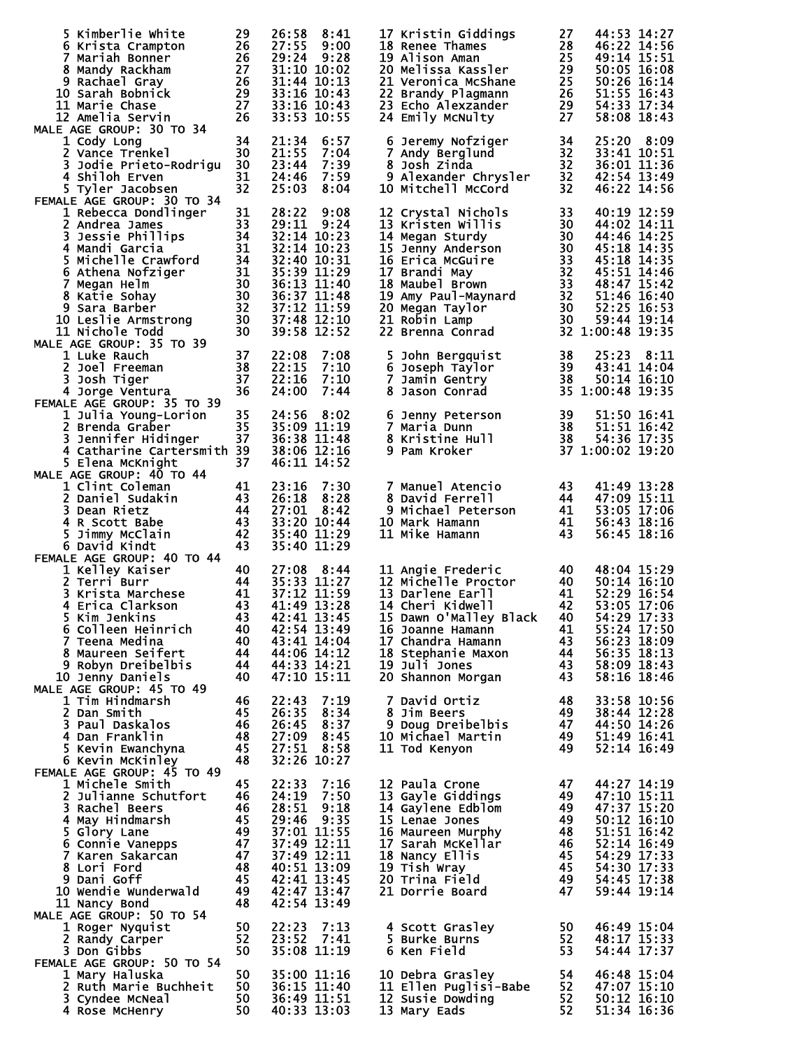|    | 5 Kimberlie White<br>6 Krista Crampton                                                                                                                                                       | 29<br>26                                                  | 26:58<br>27:55                               | 8:41<br>9:00         | 17 Kristin Giddings                                                                                                                                      | 27<br>28               | 44:53 14:27<br>46:22 14:56   |
|----|----------------------------------------------------------------------------------------------------------------------------------------------------------------------------------------------|-----------------------------------------------------------|----------------------------------------------|----------------------|----------------------------------------------------------------------------------------------------------------------------------------------------------|------------------------|------------------------------|
|    | $\begin{array}{r} 26 \\ 27 \\ 27 \\ 26 \\ 29 \\ 27 \\ 26 \\ 27 \\ 26 \end{array}$<br>7 Mariah Bonner                                                                                         |                                                           | 29:24 9:28                                   |                      | <b>10 kenee Thames<br/>19 Alison Aman<br/>20 Melissa Kassler<br/>21 Veronics : S</b>                                                                     | 25                     | 49:14 15:51                  |
|    | 8 Mandy Rackham<br>9 Rachael Gray                                                                                                                                                            |                                                           | 31:10 10:02<br>31:44 10:13                   |                      | 21 Veronica McShane                                                                                                                                      | 29<br>25               | 50:05 16:08<br>50:26 16:14   |
|    | 10 Sarah Bobnick                                                                                                                                                                             |                                                           | 33:16 10:43                                  |                      | 22 Brandy Plagmann                                                                                                                                       | 26                     | 51:55 16:43                  |
|    | 11 Marie Chase                                                                                                                                                                               |                                                           | 33:16 10:43                                  |                      | 23 Echo Alexzander                                                                                                                                       | 29                     | 54:33 17:34                  |
|    | 12 Amelia Servin<br>MALE AGE GROUP: 30 TO 34                                                                                                                                                 |                                                           | 33:53 10:55                                  |                      | 24 Emily McNulty                                                                                                                                         | 27                     | 58:08 18:43                  |
|    | 1 Cody Long                                                                                                                                                                                  | 34                                                        | 21:34                                        | 6:57                 | 6 Jeremy Nofziger                                                                                                                                        | 34                     | 25:20<br>8:09                |
|    | 2 Vance Trenkel<br>3 Jodie Prieto-Rodrigu 30                                                                                                                                                 | 30                                                        | 21:55                                        | 7:04                 | 7 Andy Berglund                                                                                                                                          | 32                     | 33:41 10:51                  |
|    | 4 Shiloh Erven                                                                                                                                                                               | 31                                                        | 23:44<br>24:46                               | 7:39<br>7:59         | 8 Josh Zinda<br>9 Alexander Chrysler                                                                                                                     | 32<br>32               | 36:01 11:36<br>42:54 13:49   |
|    | 5 Tyler Jacobsen                                                                                                                                                                             | 32                                                        | 25:03                                        | 8:04                 | 10 Mitchell McCord                                                                                                                                       | 32                     | 46:22 14:56                  |
|    | FEMALE AGE GROUP: 30 TO 34                                                                                                                                                                   |                                                           | 28:22                                        | 9:08                 | 12 Crystal Nichols                                                                                                                                       |                        | 40:19 12:59                  |
|    | 1 Rebecca Dondlinger<br>2 Andrea James                                                                                                                                                       | 31<br>33                                                  | 29:11                                        | 9:24                 | 13 Kristen Willis                                                                                                                                        | 33<br>30               | 44:02 14:11                  |
|    | $\frac{34}{34}$<br>3 Jessie Phillips                                                                                                                                                         |                                                           | 32:14 10:23                                  |                      | 14 Megan Sturdy                                                                                                                                          | 30                     | 44:46 14:25                  |
|    | 4 Mandi Garcia 31<br>5 Michelle Crawford 34<br>6 Athena Nofziger 31<br>7 Megan Helm 30<br>8 Katie Sohay 30<br>9 Sara Barber 32<br>0 Leslie Armstrong 30<br>0 Nichole Todd 30<br>AGE CPOUR 19 |                                                           | 32:14 10:23                                  |                      | 15 Jenny Anderson<br>16 Erica McGuire<br>17 Brandi May<br>18 Maubel Brown<br>19 Amy Paul-Maynard<br>20 Megan Taylor<br>21 Robin Lamp<br>22 Brenna Conrad | 30                     | 45:18 14:35                  |
|    |                                                                                                                                                                                              |                                                           | 32:40 10:31<br>35:39 11:29                   |                      |                                                                                                                                                          | 33<br>32               | 45:18 14:35<br>45:51 14:46   |
|    |                                                                                                                                                                                              |                                                           | $36:13$ $11:40$                              |                      |                                                                                                                                                          | 33                     | 48:47 15:42                  |
|    |                                                                                                                                                                                              |                                                           | 36:37 11:48                                  |                      |                                                                                                                                                          | 32                     | 51:46 16:40                  |
|    | 10 Leslie Armstrong                                                                                                                                                                          |                                                           | 37:12 11:59<br>37:48 12:10                   |                      |                                                                                                                                                          | 30<br>30               | 52:25 16:53<br>59:44 19:14   |
|    | 11 Nichole Todd                                                                                                                                                                              |                                                           |                                              | 39:58 12:52          |                                                                                                                                                          |                        | 32 1:00:48 19:35             |
|    | MALE AGE GROUP: 35 TO 39                                                                                                                                                                     |                                                           |                                              |                      |                                                                                                                                                          |                        |                              |
|    | 1 Luke Rauch<br>2 Joel Freeman                                                                                                                                                               | 37<br>38                                                  | 22:08<br>22:15                               | 7:08<br>7:10         | 5 John Bergquist<br>6 Joseph Taylor                                                                                                                      | 38<br>39               | 25:23<br>8:11<br>43:41 14:04 |
| 3. | Josh Tiger                                                                                                                                                                                   | 37                                                        | 22:16                                        | 7:10                 | 7 Jamin Gentry                                                                                                                                           | - 38                   | 50:14 16:10                  |
|    | 4 Jorge Ventura                                                                                                                                                                              | 36                                                        | 24:00                                        | 7:44                 | 8 Jason Conrad                                                                                                                                           |                        | 35 1:00:48 19:35             |
|    | FEMALE AGE GROUP: 35 TO 39<br>1 Julia Young-Lorion                                                                                                                                           | 35                                                        | 24:56                                        | 8:02                 | 6 Jenny Peterson                                                                                                                                         | 39                     | 51:50 16:41                  |
|    | 2 Brenda Graber                                                                                                                                                                              | 35                                                        | 35:09 11:19                                  |                      | $\begin{array}{cc} 1 & 39 \\ 38 & 38 \\ 38 & 37 & 1 \end{array}$<br>7 Maria Dunn                                                                         |                        | 51:51 16:42                  |
|    | 3 Jennifer Hidinger 37<br>4 Catharine Cartersmith 39                                                                                                                                         |                                                           | 36:38 11:48                                  |                      | 8 Kristine Hull                                                                                                                                          |                        | 54:36 17:35                  |
|    | 5 Elena McKnight                                                                                                                                                                             | 37                                                        | 38:06 12:16<br>46:11 14:52                   |                      | 9 Pam Kroker                                                                                                                                             |                        | 37 1:00:02 19:20             |
|    | MALE AGE GROUP: 40 TO 44                                                                                                                                                                     |                                                           |                                              |                      |                                                                                                                                                          |                        |                              |
|    | 1 Clint Coleman                                                                                                                                                                              | $\begin{array}{c} 41 \\ 43 \\ 44 \\ 43 \\ 43 \end{array}$ | 23:16                                        | 7:30                 | 7 Manuel Atencio                                                                                                                                         | 43                     | 41:49 13:28                  |
|    | 2 Daniel Sudakin<br>3 Dean Rietz                                                                                                                                                             |                                                           | 26:18<br>27:01                               | 8:28<br>8:42         | 8 David Ferrell<br>9 Michael Peterson                                                                                                                    | -44<br>$\frac{44}{41}$ | 47:09 15:11<br>53:05 17:06   |
|    | 4 R Scott Babe                                                                                                                                                                               |                                                           |                                              | 33:20 10:44          | 10 Mark Hamann                                                                                                                                           |                        | 56:43 18:16                  |
|    | 5 Jimmy McClain                                                                                                                                                                              | 42                                                        |                                              | 35:40 11:29          | 11 Mike Hamann                                                                                                                                           | 43                     | 56:45 18:16                  |
|    | 6 David Kindt<br>FEMALE AGE GROUP: 40 TO 44                                                                                                                                                  | 43                                                        |                                              | 35:40 11:29          |                                                                                                                                                          |                        |                              |
|    | 1 Kelley Kaiser                                                                                                                                                                              | 40                                                        | 27:08                                        | 8:44                 | 11 Angie Frederic                                                                                                                                        | 40                     | 48:04 15:29                  |
|    | 2 Terri Burr                                                                                                                                                                                 | $40$<br>$44$<br>$41$                                      |                                              | 35:33 11:27          | 12 Michelle Proctor                                                                                                                                      | $\frac{40}{41}$        | $50:14$ $16:10$              |
|    | 3 Krista Marchese<br>4 Erica Clarkson                                                                                                                                                        | 43                                                        | 37:12 11:59<br>41:49 13:28                   |                      | 13 Darlene Earll<br>14 Cheri Kidwell                                                                                                                     | -42                    | 52:29 16:54<br>53:05 17:06   |
|    | $\overline{a}$ 43<br>5 Kim Jenkins                                                                                                                                                           |                                                           | $42:41$ 13:45                                |                      | 15 Dawn O'Malley Black 40                                                                                                                                |                        | 54:29 17:33                  |
|    | 6 Colleen Heinrich                                                                                                                                                                           | 40                                                        | 42:54 13:49                                  |                      | 16 Joanne Hamann                                                                                                                                         | 41                     | 55:24 17:50                  |
|    | 7 Teena Medina<br>8 Maureen Seifert                                                                                                                                                          | 40<br>44                                                  | 43:41 14:04<br>44:06 14:12                   |                      | 17 Chandra Hamann<br>18 Stephanie Maxon                                                                                                                  | - 43                   | 56:23 18:09<br>56:35 18:13   |
|    | 9 Robyn Dreibelbis                                                                                                                                                                           | 44                                                        | 44:33 14:21                                  |                      | 19 Juli Jones                                                                                                                                            | $\frac{44}{43}$        | 58:09 18:43                  |
|    | 10 Jenny Daniels                                                                                                                                                                             | 40                                                        | 47:10 15:11                                  |                      | 20 Shannon Morgan                                                                                                                                        | -43                    | 58:16 18:46                  |
|    | MALE AGE GROUP: 45 TO 49<br>1 Tim Hindmarsh                                                                                                                                                  | 46                                                        | 22:43                                        | 7:19                 | 7 David Ortiz                                                                                                                                            | 48                     | 33:58 10:56                  |
|    | 2 Dan Smith                                                                                                                                                                                  | 45                                                        | 26:35                                        | 8:34                 | 8 Jim Beers                                                                                                                                              | 49                     | 38:44 12:28                  |
|    | 3 Paul Daskalos                                                                                                                                                                              | - 46                                                      | 26:45                                        | 8:37                 | 9 Doug Dreibelbis                                                                                                                                        | -47                    | 44:50 14:26                  |
|    | 4 Dan Franklin<br>5 Kevin Ewanchyna                                                                                                                                                          | - 48<br>45                                                | 27:09 8:45<br>27:51 8:58                     |                      | 10 Michael Martin<br>11 Tod Kenyon                                                                                                                       | - 49<br>49             | 51:49 16:41<br>52:14 16:49   |
|    | 6 Kevin McKinley                                                                                                                                                                             | 48                                                        | 32:26 10:27                                  |                      |                                                                                                                                                          |                        |                              |
|    | FEMALE AGE GROUP: 45 TO 49                                                                                                                                                                   |                                                           |                                              |                      |                                                                                                                                                          |                        |                              |
|    | 1 Michele Smith<br>2 Julianne Schutfort                                                                                                                                                      | 45<br>- 46                                                | 22:33<br>24:19                               | 7:16<br>7:50         | 12 Paula Crone<br>13 Gayle Giddings                                                                                                                      | 47<br>49               | 44:27 14:19<br>47:10 15:11   |
|    | 3 Rachel Beers                                                                                                                                                                               | 46                                                        | 28:51                                        | 9:18                 | 14 Gaylene Edblom                                                                                                                                        | -49                    | 47:37 15:20                  |
|    | 4 May Hindmarsh                                                                                                                                                                              | 45<br>49                                                  | 29:46                                        | 9:35                 | 15 Lenae Jones                                                                                                                                           | -49                    | 50:12 16:10                  |
|    | 5 Glory Lane<br>6 Connie Vanepps                                                                                                                                                             |                                                           | 37:01 11:55<br>37:49 12:11                   |                      | 16 Maureen Murphy<br>17 Sarah McKellar                                                                                                                   | -48<br>-46             | 51:51 16:42<br>52:14 16:49   |
|    | 7 Karen Sakarcan                                                                                                                                                                             | $\frac{47}{47}$                                           | 37:49 12:11                                  |                      | 18 Nancy Ellis                                                                                                                                           | 45                     | 54:29 17:33                  |
|    | 8 Lori Ford                                                                                                                                                                                  | - 48                                                      | 40:51 13:09                                  |                      | 19 Tish Wray                                                                                                                                             | 45                     | 54:30 17:33                  |
|    | 9 Dani Goff<br>10 Wendie Wunderwald                                                                                                                                                          | 45                                                        | $42:41$ $\overline{13}:45$<br>49 42:47 13:47 |                      | 20 Trina Field<br>21 Dorrie Board                                                                                                                        | 49<br>47               | 54:45 17:38<br>59:44 19:14   |
|    | 11 Nancy Bond                                                                                                                                                                                | 48                                                        | 42:54 13:49                                  |                      |                                                                                                                                                          |                        |                              |
|    | MALE AGE GROUP: 50 TO 54                                                                                                                                                                     |                                                           |                                              |                      |                                                                                                                                                          |                        |                              |
|    | 1 Roger Nyquist<br>2 Randy Carper                                                                                                                                                            | 50<br>52                                                  | 22:23                                        | 7:13<br>$23:52$ 7:41 | 4 Scott Grasley<br>5 Burke Burns                                                                                                                         | 50<br>52               | 46:49 15:04<br>48:17 15:33   |
|    | 3 Don Gibbs                                                                                                                                                                                  | 50                                                        |                                              | 35:08 11:19          | 6 Ken Field                                                                                                                                              | -53                    | 54:44 17:37                  |
|    | FEMALE AGE GROUP: 50 TO 54                                                                                                                                                                   |                                                           |                                              |                      |                                                                                                                                                          |                        |                              |
|    | 1 Mary Haluska<br>2 Ruth Marie Buchheit                                                                                                                                                      | 50<br>50                                                  | 35:00 11:16                                  | 36:15 11:40          | 10 Debra Grasley                                                                                                                                         | 54<br>52               | 46:48 15:04<br>47:07 15:10   |
|    | 3 Cyndee McNeal                                                                                                                                                                              | 50                                                        |                                              | 36:49 11:51          | 11 Ellen Puglisi-Babe<br>12 Susie Dowding<br>13 Mary Eads                                                                                                | 52                     | 50:12 16:10                  |
|    | 4 Rose McHenry                                                                                                                                                                               | 50                                                        | 40:33 13:03                                  |                      | 13 Mary Eads                                                                                                                                             | 52                     | 51:34 16:36                  |